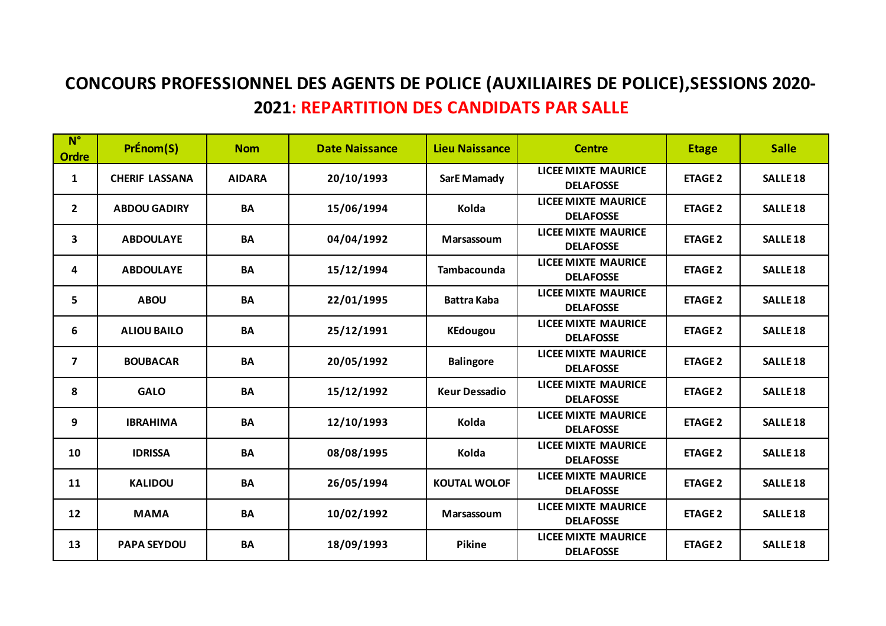## **CONCOURS PROFESSIONNEL DES AGENTS DE POLICE (AUXILIAIRES DE POLICE),SESSIONS 2020- 2021: REPARTITION DES CANDIDATS PAR SALLE**

| $N^{\circ}$<br><b>Ordre</b> | PrÉnom(S)             | <b>Nom</b>    | <b>Date Naissance</b> | <b>Lieu Naissance</b> | <b>Centre</b>                                  | <b>Etage</b>   | <b>Salle</b>    |
|-----------------------------|-----------------------|---------------|-----------------------|-----------------------|------------------------------------------------|----------------|-----------------|
| 1                           | <b>CHERIF LASSANA</b> | <b>AIDARA</b> | 20/10/1993            | <b>SarE Mamady</b>    | <b>LICEE MIXTE MAURICE</b><br><b>DELAFOSSE</b> | <b>ETAGE 2</b> | <b>SALLE 18</b> |
| $\overline{2}$              | <b>ABDOU GADIRY</b>   | BA            | 15/06/1994            | Kolda                 | <b>LICEE MIXTE MAURICE</b><br><b>DELAFOSSE</b> | <b>ETAGE 2</b> | <b>SALLE 18</b> |
| 3                           | <b>ABDOULAYE</b>      | <b>BA</b>     | 04/04/1992            | Marsassoum            | <b>LICEE MIXTE MAURICE</b><br><b>DELAFOSSE</b> | <b>ETAGE 2</b> | <b>SALLE 18</b> |
| 4                           | <b>ABDOULAYE</b>      | <b>BA</b>     | 15/12/1994            | Tambacounda           | <b>LICEE MIXTE MAURICE</b><br><b>DELAFOSSE</b> | <b>ETAGE 2</b> | <b>SALLE 18</b> |
| 5                           | <b>ABOU</b>           | <b>BA</b>     | 22/01/1995            | <b>Battra Kaba</b>    | <b>LICEE MIXTE MAURICE</b><br><b>DELAFOSSE</b> | <b>ETAGE 2</b> | <b>SALLE 18</b> |
| 6                           | <b>ALIOU BAILO</b>    | <b>BA</b>     | 25/12/1991            | <b>KEdougou</b>       | <b>LICEE MIXTE MAURICE</b><br><b>DELAFOSSE</b> | <b>ETAGE 2</b> | <b>SALLE 18</b> |
| $\overline{\mathbf{z}}$     | <b>BOUBACAR</b>       | <b>BA</b>     | 20/05/1992            | <b>Balingore</b>      | <b>LICEE MIXTE MAURICE</b><br><b>DELAFOSSE</b> | <b>ETAGE 2</b> | <b>SALLE 18</b> |
| 8                           | <b>GALO</b>           | <b>BA</b>     | 15/12/1992            | <b>Keur Dessadio</b>  | <b>LICEE MIXTE MAURICE</b><br><b>DELAFOSSE</b> | <b>ETAGE 2</b> | <b>SALLE 18</b> |
| 9                           | <b>IBRAHIMA</b>       | BA            | 12/10/1993            | Kolda                 | <b>LICEE MIXTE MAURICE</b><br><b>DELAFOSSE</b> | <b>ETAGE 2</b> | <b>SALLE 18</b> |
| 10                          | <b>IDRISSA</b>        | <b>BA</b>     | 08/08/1995            | Kolda                 | <b>LICEE MIXTE MAURICE</b><br><b>DELAFOSSE</b> | <b>ETAGE 2</b> | <b>SALLE 18</b> |
| 11                          | <b>KALIDOU</b>        | <b>BA</b>     | 26/05/1994            | <b>KOUTAL WOLOF</b>   | <b>LICEE MIXTE MAURICE</b><br><b>DELAFOSSE</b> | <b>ETAGE 2</b> | <b>SALLE 18</b> |
| 12                          | <b>MAMA</b>           | <b>BA</b>     | 10/02/1992            | Marsassoum            | <b>LICEE MIXTE MAURICE</b><br><b>DELAFOSSE</b> | <b>ETAGE 2</b> | <b>SALLE 18</b> |
| 13                          | <b>PAPA SEYDOU</b>    | BA            | 18/09/1993            | Pikine                | <b>LICEE MIXTE MAURICE</b><br><b>DELAFOSSE</b> | <b>ETAGE 2</b> | <b>SALLE 18</b> |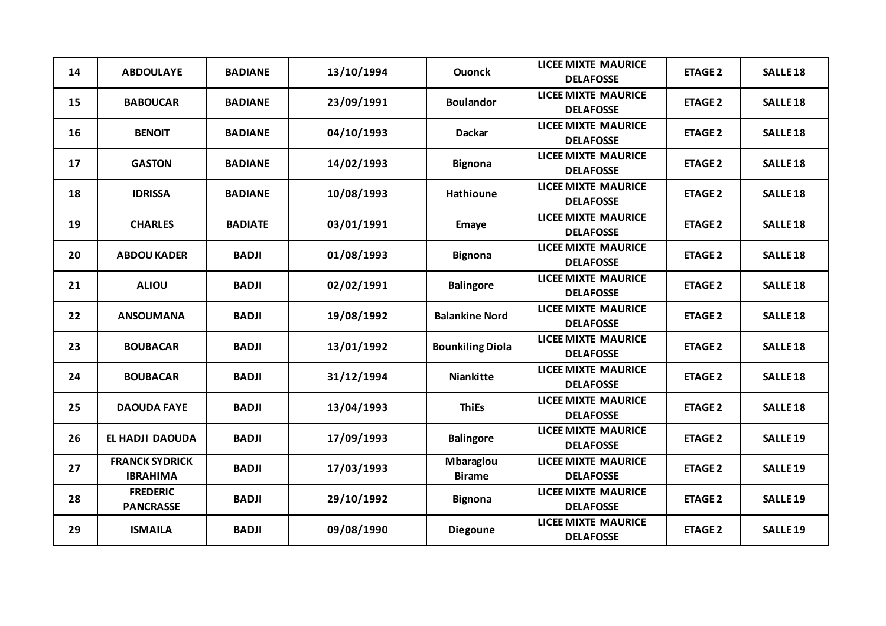| 14 | <b>ABDOULAYE</b>                         | <b>BADIANE</b> | 13/10/1994 | <b>Ouonck</b>              | <b>LICEE MIXTE MAURICE</b><br><b>DELAFOSSE</b> | <b>ETAGE 2</b> | <b>SALLE 18</b>     |
|----|------------------------------------------|----------------|------------|----------------------------|------------------------------------------------|----------------|---------------------|
| 15 | <b>BABOUCAR</b>                          | <b>BADIANE</b> | 23/09/1991 | <b>Boulandor</b>           | <b>LICEE MIXTE MAURICE</b><br><b>DELAFOSSE</b> | <b>ETAGE 2</b> | <b>SALLE 18</b>     |
| 16 | <b>BENOIT</b>                            | <b>BADIANE</b> | 04/10/1993 | <b>Dackar</b>              | <b>LICEE MIXTE MAURICE</b><br><b>DELAFOSSE</b> | <b>ETAGE 2</b> | <b>SALLE 18</b>     |
| 17 | <b>GASTON</b>                            | <b>BADIANE</b> | 14/02/1993 | <b>Bignona</b>             | <b>LICEE MIXTE MAURICE</b><br><b>DELAFOSSE</b> | <b>ETAGE 2</b> | <b>SALLE 18</b>     |
| 18 | <b>IDRISSA</b>                           | <b>BADIANE</b> | 10/08/1993 | <b>Hathioune</b>           | <b>LICEE MIXTE MAURICE</b><br><b>DELAFOSSE</b> | <b>ETAGE 2</b> | <b>SALLE 18</b>     |
| 19 | <b>CHARLES</b>                           | <b>BADIATE</b> | 03/01/1991 | <b>Emaye</b>               | <b>LICEE MIXTE MAURICE</b><br><b>DELAFOSSE</b> | <b>ETAGE 2</b> | <b>SALLE 18</b>     |
| 20 | <b>ABDOU KADER</b>                       | <b>BADJI</b>   | 01/08/1993 | <b>Bignona</b>             | <b>LICEE MIXTE MAURICE</b><br><b>DELAFOSSE</b> | <b>ETAGE 2</b> | <b>SALLE 18</b>     |
| 21 | <b>ALIOU</b>                             | <b>BADJI</b>   | 02/02/1991 | <b>Balingore</b>           | <b>LICEE MIXTE MAURICE</b><br><b>DELAFOSSE</b> | <b>ETAGE 2</b> | <b>SALLE 18</b>     |
| 22 | <b>ANSOUMANA</b>                         | <b>BADJI</b>   | 19/08/1992 | <b>Balankine Nord</b>      | <b>LICEE MIXTE MAURICE</b><br><b>DELAFOSSE</b> | <b>ETAGE 2</b> | <b>SALLE 18</b>     |
| 23 | <b>BOUBACAR</b>                          | <b>BADJI</b>   | 13/01/1992 | <b>Bounkiling Diola</b>    | <b>LICEE MIXTE MAURICE</b><br><b>DELAFOSSE</b> | <b>ETAGE 2</b> | <b>SALLE 18</b>     |
| 24 | <b>BOUBACAR</b>                          | <b>BADJI</b>   | 31/12/1994 | <b>Niankitte</b>           | <b>LICEE MIXTE MAURICE</b><br><b>DELAFOSSE</b> | <b>ETAGE 2</b> | <b>SALLE 18</b>     |
| 25 | <b>DAOUDA FAYE</b>                       | <b>BADJI</b>   | 13/04/1993 | <b>ThiEs</b>               | <b>LICEE MIXTE MAURICE</b><br><b>DELAFOSSE</b> | <b>ETAGE 2</b> | <b>SALLE 18</b>     |
| 26 | EL HADJI DAOUDA                          | <b>BADJI</b>   | 17/09/1993 | <b>Balingore</b>           | <b>LICEE MIXTE MAURICE</b><br><b>DELAFOSSE</b> | <b>ETAGE 2</b> | <b>SALLE 19</b>     |
| 27 | <b>FRANCK SYDRICK</b><br><b>IBRAHIMA</b> | <b>BADJI</b>   | 17/03/1993 | Mbaraglou<br><b>Birame</b> | <b>LICEE MIXTE MAURICE</b><br><b>DELAFOSSE</b> | <b>ETAGE 2</b> | <b>SALLE 19</b>     |
| 28 | <b>FREDERIC</b><br><b>PANCRASSE</b>      | <b>BADJI</b>   | 29/10/1992 | <b>Bignona</b>             | <b>LICEE MIXTE MAURICE</b><br><b>DELAFOSSE</b> | <b>ETAGE 2</b> | <b>SALLE 19</b>     |
| 29 | <b>ISMAILA</b>                           | <b>BADJI</b>   | 09/08/1990 | <b>Diegoune</b>            | <b>LICEE MIXTE MAURICE</b><br><b>DELAFOSSE</b> | <b>ETAGE 2</b> | SALLE <sub>19</sub> |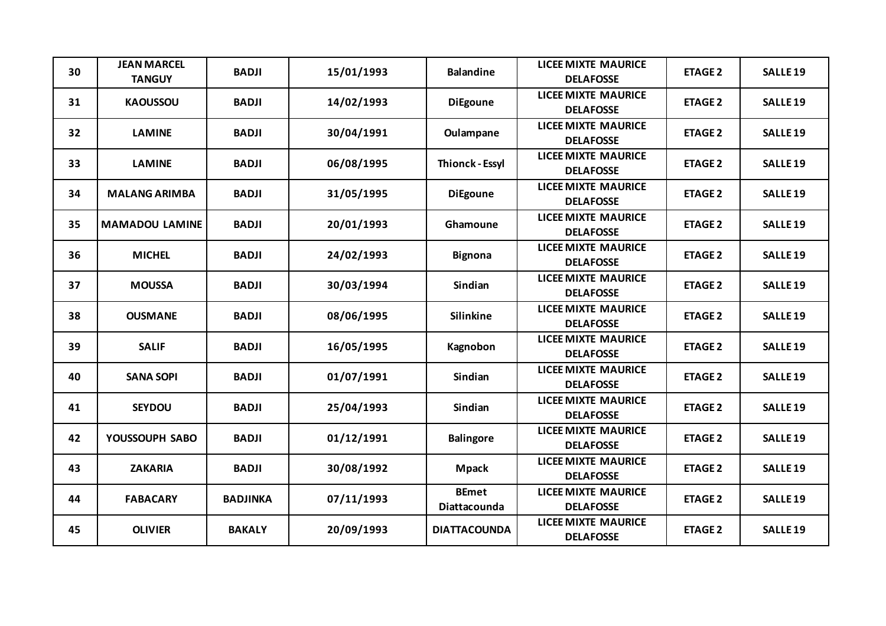| 30 | <b>JEAN MARCEL</b><br><b>TANGUY</b> | <b>BADJI</b>    | 15/01/1993 | <b>Balandine</b>             | <b>LICEE MIXTE MAURICE</b><br><b>DELAFOSSE</b> | <b>ETAGE 2</b> | <b>SALLE 19</b>     |
|----|-------------------------------------|-----------------|------------|------------------------------|------------------------------------------------|----------------|---------------------|
| 31 | <b>KAOUSSOU</b>                     | <b>BADJI</b>    | 14/02/1993 | <b>DiEgoune</b>              | <b>LICEE MIXTE MAURICE</b><br><b>DELAFOSSE</b> | <b>ETAGE 2</b> | <b>SALLE 19</b>     |
| 32 | <b>LAMINE</b>                       | <b>BADJI</b>    | 30/04/1991 | Oulampane                    | <b>LICEE MIXTE MAURICE</b><br><b>DELAFOSSE</b> | <b>ETAGE 2</b> | <b>SALLE 19</b>     |
| 33 | <b>LAMINE</b>                       | <b>BADJI</b>    | 06/08/1995 | <b>Thionck - Essyl</b>       | <b>LICEE MIXTE MAURICE</b><br><b>DELAFOSSE</b> | <b>ETAGE 2</b> | <b>SALLE 19</b>     |
| 34 | <b>MALANG ARIMBA</b>                | <b>BADJI</b>    | 31/05/1995 | <b>DiEgoune</b>              | <b>LICEE MIXTE MAURICE</b><br><b>DELAFOSSE</b> | <b>ETAGE 2</b> | <b>SALLE 19</b>     |
| 35 | <b>MAMADOU LAMINE</b>               | <b>BADJI</b>    | 20/01/1993 | Ghamoune                     | <b>LICEE MIXTE MAURICE</b><br><b>DELAFOSSE</b> | <b>ETAGE 2</b> | <b>SALLE 19</b>     |
| 36 | <b>MICHEL</b>                       | <b>BADJI</b>    | 24/02/1993 | <b>Bignona</b>               | <b>LICEE MIXTE MAURICE</b><br><b>DELAFOSSE</b> | <b>ETAGE 2</b> | <b>SALLE 19</b>     |
| 37 | <b>MOUSSA</b>                       | <b>BADJI</b>    | 30/03/1994 | <b>Sindian</b>               | <b>LICEE MIXTE MAURICE</b><br><b>DELAFOSSE</b> | <b>ETAGE 2</b> | <b>SALLE 19</b>     |
| 38 | <b>OUSMANE</b>                      | <b>BADJI</b>    | 08/06/1995 | <b>Silinkine</b>             | <b>LICEE MIXTE MAURICE</b><br><b>DELAFOSSE</b> | <b>ETAGE 2</b> | <b>SALLE 19</b>     |
| 39 | <b>SALIF</b>                        | <b>BADJI</b>    | 16/05/1995 | Kagnobon                     | <b>LICEE MIXTE MAURICE</b><br><b>DELAFOSSE</b> | <b>ETAGE 2</b> | <b>SALLE 19</b>     |
| 40 | <b>SANA SOPI</b>                    | <b>BADJI</b>    | 01/07/1991 | <b>Sindian</b>               | <b>LICEE MIXTE MAURICE</b><br><b>DELAFOSSE</b> | <b>ETAGE 2</b> | <b>SALLE 19</b>     |
| 41 | <b>SEYDOU</b>                       | <b>BADJI</b>    | 25/04/1993 | Sindian                      | <b>LICEE MIXTE MAURICE</b><br><b>DELAFOSSE</b> | <b>ETAGE 2</b> | <b>SALLE 19</b>     |
| 42 | YOUSSOUPH SABO                      | <b>BADJI</b>    | 01/12/1991 | <b>Balingore</b>             | <b>LICEE MIXTE MAURICE</b><br><b>DELAFOSSE</b> | <b>ETAGE 2</b> | <b>SALLE 19</b>     |
| 43 | <b>ZAKARIA</b>                      | <b>BADJI</b>    | 30/08/1992 | <b>Mpack</b>                 | <b>LICEE MIXTE MAURICE</b><br><b>DELAFOSSE</b> | <b>ETAGE 2</b> | <b>SALLE 19</b>     |
| 44 | <b>FABACARY</b>                     | <b>BADJINKA</b> | 07/11/1993 | <b>BEmet</b><br>Diattacounda | <b>LICEE MIXTE MAURICE</b><br><b>DELAFOSSE</b> | <b>ETAGE 2</b> | <b>SALLE 19</b>     |
| 45 | <b>OLIVIER</b>                      | <b>BAKALY</b>   | 20/09/1993 | <b>DIATTACOUNDA</b>          | <b>LICEE MIXTE MAURICE</b><br><b>DELAFOSSE</b> | <b>ETAGE 2</b> | SALLE <sub>19</sub> |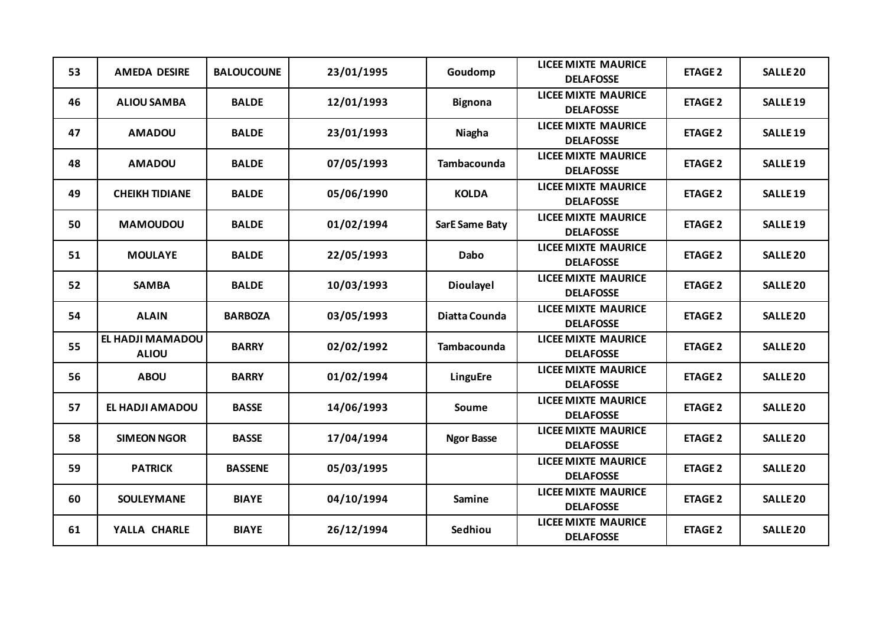| 53 | <b>AMEDA DESIRE</b>                     | <b>BALOUCOUNE</b> | 23/01/1995 | Goudomp               | <b>LICEE MIXTE MAURICE</b><br><b>DELAFOSSE</b> | <b>ETAGE 2</b> | <b>SALLE 20</b>     |
|----|-----------------------------------------|-------------------|------------|-----------------------|------------------------------------------------|----------------|---------------------|
| 46 | <b>ALIOU SAMBA</b>                      | <b>BALDE</b>      | 12/01/1993 | <b>Bignona</b>        | <b>LICEE MIXTE MAURICE</b><br><b>DELAFOSSE</b> | <b>ETAGE 2</b> | <b>SALLE 19</b>     |
| 47 | <b>AMADOU</b>                           | <b>BALDE</b>      | 23/01/1993 | Niagha                | <b>LICEE MIXTE MAURICE</b><br><b>DELAFOSSE</b> | <b>ETAGE 2</b> | <b>SALLE 19</b>     |
| 48 | <b>AMADOU</b>                           | <b>BALDE</b>      | 07/05/1993 | <b>Tambacounda</b>    | <b>LICEE MIXTE MAURICE</b><br><b>DELAFOSSE</b> | <b>ETAGE 2</b> | SALLE <sub>19</sub> |
| 49 | <b>CHEIKH TIDIANE</b>                   | <b>BALDE</b>      | 05/06/1990 | <b>KOLDA</b>          | <b>LICEE MIXTE MAURICE</b><br><b>DELAFOSSE</b> | <b>ETAGE 2</b> | <b>SALLE 19</b>     |
| 50 | <b>MAMOUDOU</b>                         | <b>BALDE</b>      | 01/02/1994 | <b>SarE Same Baty</b> | <b>LICEE MIXTE MAURICE</b><br><b>DELAFOSSE</b> | <b>ETAGE 2</b> | <b>SALLE 19</b>     |
| 51 | <b>MOULAYE</b>                          | <b>BALDE</b>      | 22/05/1993 | <b>Dabo</b>           | <b>LICEE MIXTE MAURICE</b><br><b>DELAFOSSE</b> | <b>ETAGE 2</b> | <b>SALLE 20</b>     |
| 52 | <b>SAMBA</b>                            | <b>BALDE</b>      | 10/03/1993 | <b>Dioulayel</b>      | <b>LICEE MIXTE MAURICE</b><br><b>DELAFOSSE</b> | <b>ETAGE 2</b> | <b>SALLE 20</b>     |
| 54 | <b>ALAIN</b>                            | <b>BARBOZA</b>    | 03/05/1993 | Diatta Counda         | <b>LICEE MIXTE MAURICE</b><br><b>DELAFOSSE</b> | <b>ETAGE 2</b> | <b>SALLE 20</b>     |
| 55 | <b>EL HADJI MAMADOU</b><br><b>ALIOU</b> | <b>BARRY</b>      | 02/02/1992 | Tambacounda           | <b>LICEE MIXTE MAURICE</b><br><b>DELAFOSSE</b> | <b>ETAGE 2</b> | <b>SALLE 20</b>     |
| 56 | <b>ABOU</b>                             | <b>BARRY</b>      | 01/02/1994 | LinguEre              | <b>LICEE MIXTE MAURICE</b><br><b>DELAFOSSE</b> | <b>ETAGE 2</b> | <b>SALLE 20</b>     |
| 57 | EL HADJI AMADOU                         | <b>BASSE</b>      | 14/06/1993 | <b>Soume</b>          | <b>LICEE MIXTE MAURICE</b><br><b>DELAFOSSE</b> | <b>ETAGE 2</b> | <b>SALLE 20</b>     |
| 58 | <b>SIMEON NGOR</b>                      | <b>BASSE</b>      | 17/04/1994 | <b>Ngor Basse</b>     | <b>LICEE MIXTE MAURICE</b><br><b>DELAFOSSE</b> | <b>ETAGE 2</b> | <b>SALLE 20</b>     |
| 59 | <b>PATRICK</b>                          | <b>BASSENE</b>    | 05/03/1995 |                       | <b>LICEE MIXTE MAURICE</b><br><b>DELAFOSSE</b> | <b>ETAGE 2</b> | <b>SALLE 20</b>     |
| 60 | SOULEYMANE                              | <b>BIAYE</b>      | 04/10/1994 | <b>Samine</b>         | <b>LICEE MIXTE MAURICE</b><br><b>DELAFOSSE</b> | <b>ETAGE 2</b> | <b>SALLE 20</b>     |
| 61 | YALLA CHARLE                            | <b>BIAYE</b>      | 26/12/1994 | Sedhiou               | <b>LICEE MIXTE MAURICE</b><br><b>DELAFOSSE</b> | <b>ETAGE 2</b> | <b>SALLE 20</b>     |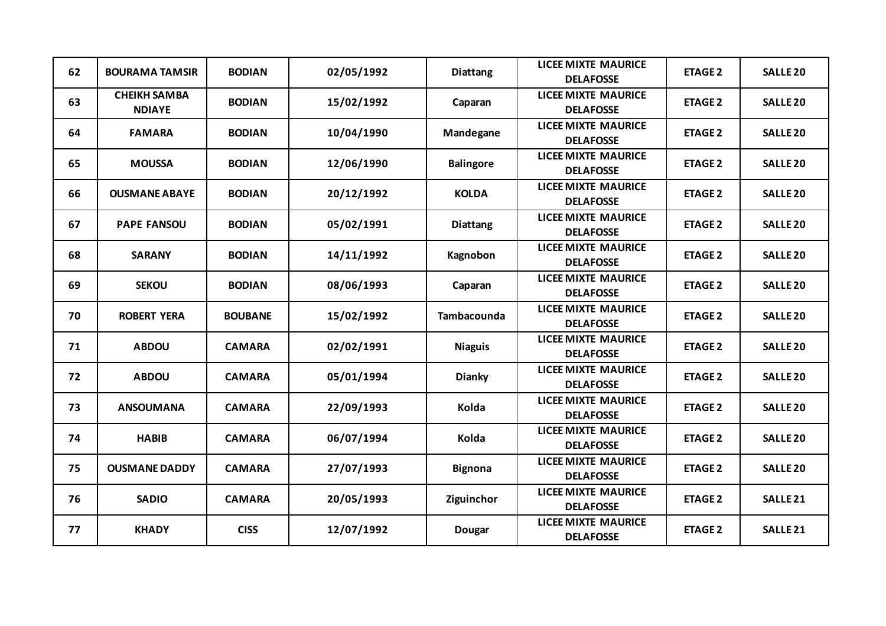| 62 | <b>BOURAMA TAMSIR</b>                | <b>BODIAN</b>  | 02/05/1992 | <b>Diattang</b>  | <b>LICEE MIXTE MAURICE</b><br><b>DELAFOSSE</b> | <b>ETAGE 2</b> | <b>SALLE 20</b>     |
|----|--------------------------------------|----------------|------------|------------------|------------------------------------------------|----------------|---------------------|
| 63 | <b>CHEIKH SAMBA</b><br><b>NDIAYE</b> | <b>BODIAN</b>  | 15/02/1992 | Caparan          | <b>LICEE MIXTE MAURICE</b><br><b>DELAFOSSE</b> | <b>ETAGE 2</b> | <b>SALLE 20</b>     |
| 64 | <b>FAMARA</b>                        | <b>BODIAN</b>  | 10/04/1990 | Mandegane        | <b>LICEE MIXTE MAURICE</b><br><b>DELAFOSSE</b> | <b>ETAGE 2</b> | <b>SALLE 20</b>     |
| 65 | <b>MOUSSA</b>                        | <b>BODIAN</b>  | 12/06/1990 | <b>Balingore</b> | <b>LICEE MIXTE MAURICE</b><br><b>DELAFOSSE</b> | <b>ETAGE 2</b> | <b>SALLE 20</b>     |
| 66 | <b>OUSMANE ABAYE</b>                 | <b>BODIAN</b>  | 20/12/1992 | <b>KOLDA</b>     | <b>LICEE MIXTE MAURICE</b><br><b>DELAFOSSE</b> | <b>ETAGE 2</b> | <b>SALLE 20</b>     |
| 67 | <b>PAPE FANSOU</b>                   | <b>BODIAN</b>  | 05/02/1991 | <b>Diattang</b>  | <b>LICEE MIXTE MAURICE</b><br><b>DELAFOSSE</b> | <b>ETAGE 2</b> | <b>SALLE 20</b>     |
| 68 | <b>SARANY</b>                        | <b>BODIAN</b>  | 14/11/1992 | Kagnobon         | <b>LICEE MIXTE MAURICE</b><br><b>DELAFOSSE</b> | <b>ETAGE 2</b> | <b>SALLE 20</b>     |
| 69 | <b>SEKOU</b>                         | <b>BODIAN</b>  | 08/06/1993 | Caparan          | <b>LICEE MIXTE MAURICE</b><br><b>DELAFOSSE</b> | <b>ETAGE 2</b> | <b>SALLE 20</b>     |
| 70 | <b>ROBERT YERA</b>                   | <b>BOUBANE</b> | 15/02/1992 | Tambacounda      | <b>LICEE MIXTE MAURICE</b><br><b>DELAFOSSE</b> | <b>ETAGE 2</b> | <b>SALLE 20</b>     |
| 71 | <b>ABDOU</b>                         | <b>CAMARA</b>  | 02/02/1991 | <b>Niaguis</b>   | <b>LICEE MIXTE MAURICE</b><br><b>DELAFOSSE</b> | <b>ETAGE 2</b> | <b>SALLE 20</b>     |
| 72 | <b>ABDOU</b>                         | <b>CAMARA</b>  | 05/01/1994 | <b>Dianky</b>    | <b>LICEE MIXTE MAURICE</b><br><b>DELAFOSSE</b> | <b>ETAGE 2</b> | <b>SALLE 20</b>     |
| 73 | <b>ANSOUMANA</b>                     | <b>CAMARA</b>  | 22/09/1993 | Kolda            | <b>LICEE MIXTE MAURICE</b><br><b>DELAFOSSE</b> | <b>ETAGE 2</b> | <b>SALLE 20</b>     |
| 74 | <b>HABIB</b>                         | <b>CAMARA</b>  | 06/07/1994 | Kolda            | <b>LICEE MIXTE MAURICE</b><br><b>DELAFOSSE</b> | <b>ETAGE 2</b> | <b>SALLE 20</b>     |
| 75 | <b>OUSMANE DADDY</b>                 | <b>CAMARA</b>  | 27/07/1993 | <b>Bignona</b>   | <b>LICEE MIXTE MAURICE</b><br><b>DELAFOSSE</b> | <b>ETAGE 2</b> | <b>SALLE 20</b>     |
| 76 | <b>SADIO</b>                         | <b>CAMARA</b>  | 20/05/1993 | Ziguinchor       | <b>LICEE MIXTE MAURICE</b><br><b>DELAFOSSE</b> | <b>ETAGE 2</b> | SALLE <sub>21</sub> |
| 77 | <b>KHADY</b>                         | <b>CISS</b>    | 12/07/1992 | <b>Dougar</b>    | <b>LICEE MIXTE MAURICE</b><br><b>DELAFOSSE</b> | <b>ETAGE 2</b> | <b>SALLE 21</b>     |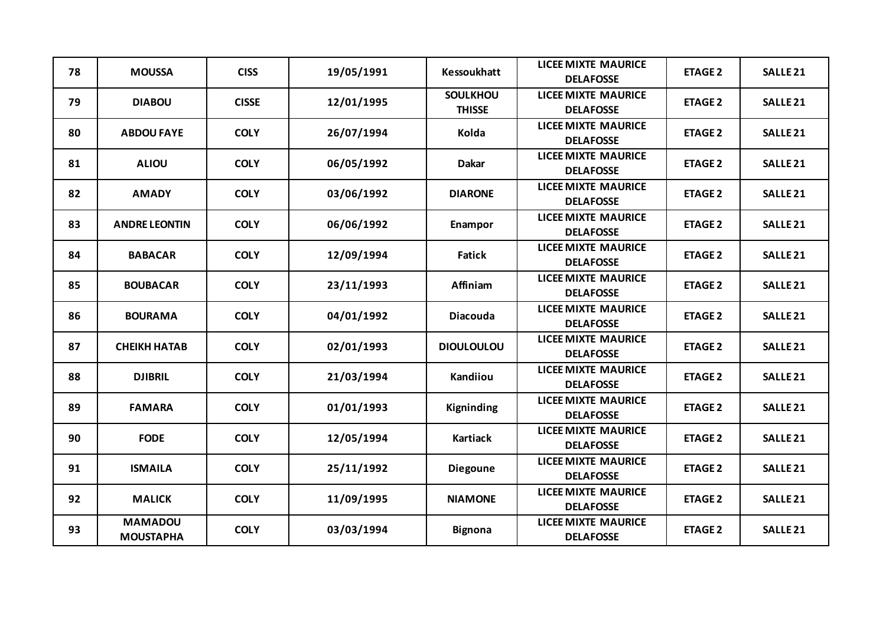| 78 | <b>MOUSSA</b>                      | <b>CISS</b>  | 19/05/1991 | <b>Kessoukhatt</b>               | <b>LICEE MIXTE MAURICE</b><br><b>DELAFOSSE</b> | <b>ETAGE 2</b> | <b>SALLE 21</b>     |
|----|------------------------------------|--------------|------------|----------------------------------|------------------------------------------------|----------------|---------------------|
| 79 | <b>DIABOU</b>                      | <b>CISSE</b> | 12/01/1995 | <b>SOULKHOU</b><br><b>THISSE</b> | <b>LICEE MIXTE MAURICE</b><br><b>DELAFOSSE</b> | <b>ETAGE 2</b> | <b>SALLE 21</b>     |
| 80 | <b>ABDOU FAYE</b>                  | <b>COLY</b>  | 26/07/1994 | Kolda                            | <b>LICEE MIXTE MAURICE</b><br><b>DELAFOSSE</b> | <b>ETAGE 2</b> | <b>SALLE 21</b>     |
| 81 | <b>ALIOU</b>                       | <b>COLY</b>  | 06/05/1992 | <b>Dakar</b>                     | <b>LICEE MIXTE MAURICE</b><br><b>DELAFOSSE</b> | <b>ETAGE 2</b> | SALLE <sub>21</sub> |
| 82 | <b>AMADY</b>                       | <b>COLY</b>  | 03/06/1992 | <b>DIARONE</b>                   | <b>LICEE MIXTE MAURICE</b><br><b>DELAFOSSE</b> | <b>ETAGE 2</b> | <b>SALLE 21</b>     |
| 83 | <b>ANDRE LEONTIN</b>               | <b>COLY</b>  | 06/06/1992 | Enampor                          | <b>LICEE MIXTE MAURICE</b><br><b>DELAFOSSE</b> | <b>ETAGE 2</b> | SALLE <sub>21</sub> |
| 84 | <b>BABACAR</b>                     | <b>COLY</b>  | 12/09/1994 | <b>Fatick</b>                    | <b>LICEE MIXTE MAURICE</b><br><b>DELAFOSSE</b> | <b>ETAGE 2</b> | SALLE <sub>21</sub> |
| 85 | <b>BOUBACAR</b>                    | <b>COLY</b>  | 23/11/1993 | Affiniam                         | <b>LICEE MIXTE MAURICE</b><br><b>DELAFOSSE</b> | <b>ETAGE 2</b> | <b>SALLE 21</b>     |
| 86 | <b>BOURAMA</b>                     | <b>COLY</b>  | 04/01/1992 | <b>Diacouda</b>                  | <b>LICEE MIXTE MAURICE</b><br><b>DELAFOSSE</b> | <b>ETAGE 2</b> | <b>SALLE 21</b>     |
| 87 | СНЕІКН НАТАВ                       | <b>COLY</b>  | 02/01/1993 | <b>DIOULOULOU</b>                | <b>LICEE MIXTE MAURICE</b><br><b>DELAFOSSE</b> | <b>ETAGE 2</b> | <b>SALLE 21</b>     |
| 88 | <b>DJIBRIL</b>                     | <b>COLY</b>  | 21/03/1994 | Kandiiou                         | <b>LICEE MIXTE MAURICE</b><br><b>DELAFOSSE</b> | <b>ETAGE 2</b> | <b>SALLE 21</b>     |
| 89 | <b>FAMARA</b>                      | <b>COLY</b>  | 01/01/1993 | <b>Kigninding</b>                | <b>LICEE MIXTE MAURICE</b><br><b>DELAFOSSE</b> | <b>ETAGE 2</b> | SALLE <sub>21</sub> |
| 90 | <b>FODE</b>                        | <b>COLY</b>  | 12/05/1994 | <b>Kartiack</b>                  | <b>LICEE MIXTE MAURICE</b><br><b>DELAFOSSE</b> | <b>ETAGE 2</b> | <b>SALLE 21</b>     |
| 91 | <b>ISMAILA</b>                     | <b>COLY</b>  | 25/11/1992 | <b>Diegoune</b>                  | <b>LICEE MIXTE MAURICE</b><br><b>DELAFOSSE</b> | <b>ETAGE 2</b> | SALLE <sub>21</sub> |
| 92 | <b>MALICK</b>                      | <b>COLY</b>  | 11/09/1995 | <b>NIAMONE</b>                   | <b>LICEE MIXTE MAURICE</b><br><b>DELAFOSSE</b> | <b>ETAGE 2</b> | <b>SALLE 21</b>     |
| 93 | <b>MAMADOU</b><br><b>MOUSTAPHA</b> | <b>COLY</b>  | 03/03/1994 | <b>Bignona</b>                   | <b>LICEE MIXTE MAURICE</b><br><b>DELAFOSSE</b> | <b>ETAGE 2</b> | SALLE <sub>21</sub> |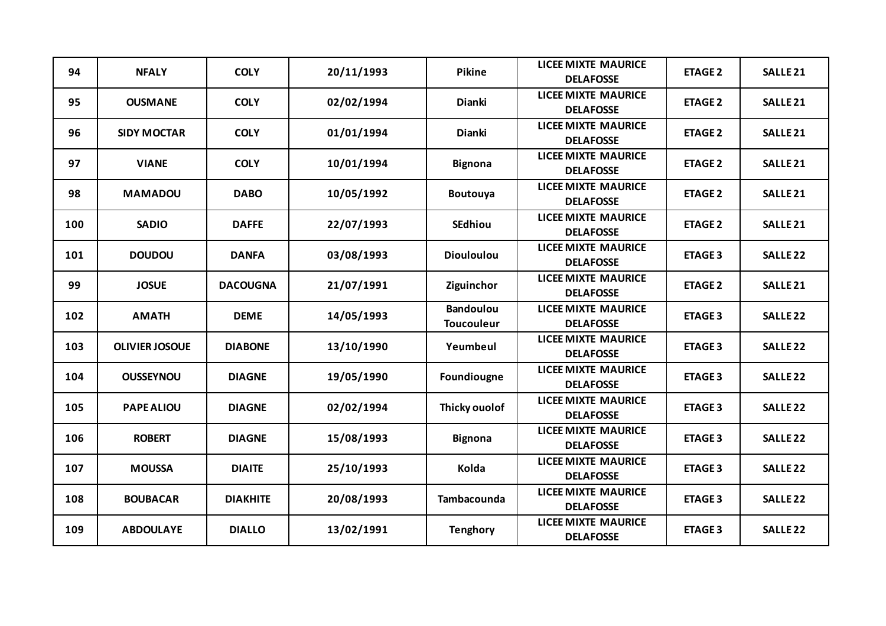| 94  | <b>NFALY</b>          | <b>COLY</b>     | 20/11/1993 | Pikine                                | <b>LICEE MIXTE MAURICE</b><br><b>DELAFOSSE</b> | <b>ETAGE 2</b> | <b>SALLE 21</b>     |
|-----|-----------------------|-----------------|------------|---------------------------------------|------------------------------------------------|----------------|---------------------|
| 95  | <b>OUSMANE</b>        | <b>COLY</b>     | 02/02/1994 | <b>Dianki</b>                         | <b>LICEE MIXTE MAURICE</b><br><b>DELAFOSSE</b> | <b>ETAGE 2</b> | <b>SALLE 21</b>     |
| 96  | <b>SIDY MOCTAR</b>    | <b>COLY</b>     | 01/01/1994 | Dianki                                | <b>LICEE MIXTE MAURICE</b><br><b>DELAFOSSE</b> | <b>ETAGE 2</b> | <b>SALLE 21</b>     |
| 97  | <b>VIANE</b>          | <b>COLY</b>     | 10/01/1994 | <b>Bignona</b>                        | <b>LICEE MIXTE MAURICE</b><br><b>DELAFOSSE</b> | <b>ETAGE 2</b> | SALLE <sub>21</sub> |
| 98  | <b>MAMADOU</b>        | <b>DABO</b>     | 10/05/1992 | Boutouya                              | <b>LICEE MIXTE MAURICE</b><br><b>DELAFOSSE</b> | <b>ETAGE 2</b> | <b>SALLE 21</b>     |
| 100 | <b>SADIO</b>          | <b>DAFFE</b>    | 22/07/1993 | <b>SEdhiou</b>                        | <b>LICEE MIXTE MAURICE</b><br><b>DELAFOSSE</b> | <b>ETAGE 2</b> | <b>SALLE 21</b>     |
| 101 | <b>DOUDOU</b>         | <b>DANFA</b>    | 03/08/1993 | <b>Diouloulou</b>                     | <b>LICEE MIXTE MAURICE</b><br><b>DELAFOSSE</b> | <b>ETAGE 3</b> | <b>SALLE 22</b>     |
| 99  | <b>JOSUE</b>          | <b>DACOUGNA</b> | 21/07/1991 | Ziguinchor                            | <b>LICEE MIXTE MAURICE</b><br><b>DELAFOSSE</b> | <b>ETAGE 2</b> | <b>SALLE 21</b>     |
| 102 | <b>AMATH</b>          | <b>DEME</b>     | 14/05/1993 | <b>Bandoulou</b><br><b>Toucouleur</b> | <b>LICEE MIXTE MAURICE</b><br><b>DELAFOSSE</b> | <b>ETAGE 3</b> | <b>SALLE 22</b>     |
| 103 | <b>OLIVIER JOSOUE</b> | <b>DIABONE</b>  | 13/10/1990 | Yeumbeul                              | <b>LICEE MIXTE MAURICE</b><br><b>DELAFOSSE</b> | <b>ETAGE 3</b> | <b>SALLE 22</b>     |
| 104 | <b>OUSSEYNOU</b>      | <b>DIAGNE</b>   | 19/05/1990 | Foundiougne                           | <b>LICEE MIXTE MAURICE</b><br><b>DELAFOSSE</b> | <b>ETAGE 3</b> | <b>SALLE 22</b>     |
| 105 | <b>PAPE ALIOU</b>     | <b>DIAGNE</b>   | 02/02/1994 | Thicky ouolof                         | <b>LICEE MIXTE MAURICE</b><br><b>DELAFOSSE</b> | <b>ETAGE 3</b> | <b>SALLE 22</b>     |
| 106 | <b>ROBERT</b>         | <b>DIAGNE</b>   | 15/08/1993 | <b>Bignona</b>                        | <b>LICEE MIXTE MAURICE</b><br><b>DELAFOSSE</b> | <b>ETAGE 3</b> | <b>SALLE 22</b>     |
| 107 | <b>MOUSSA</b>         | <b>DIAITE</b>   | 25/10/1993 | Kolda                                 | <b>LICEE MIXTE MAURICE</b><br><b>DELAFOSSE</b> | <b>ETAGE 3</b> | <b>SALLE 22</b>     |
| 108 | <b>BOUBACAR</b>       | <b>DIAKHITE</b> | 20/08/1993 | Tambacounda                           | <b>LICEE MIXTE MAURICE</b><br><b>DELAFOSSE</b> | <b>ETAGE 3</b> | <b>SALLE 22</b>     |
| 109 | <b>ABDOULAYE</b>      | <b>DIALLO</b>   | 13/02/1991 | <b>Tenghory</b>                       | <b>LICEE MIXTE MAURICE</b><br><b>DELAFOSSE</b> | <b>ETAGE 3</b> | <b>SALLE 22</b>     |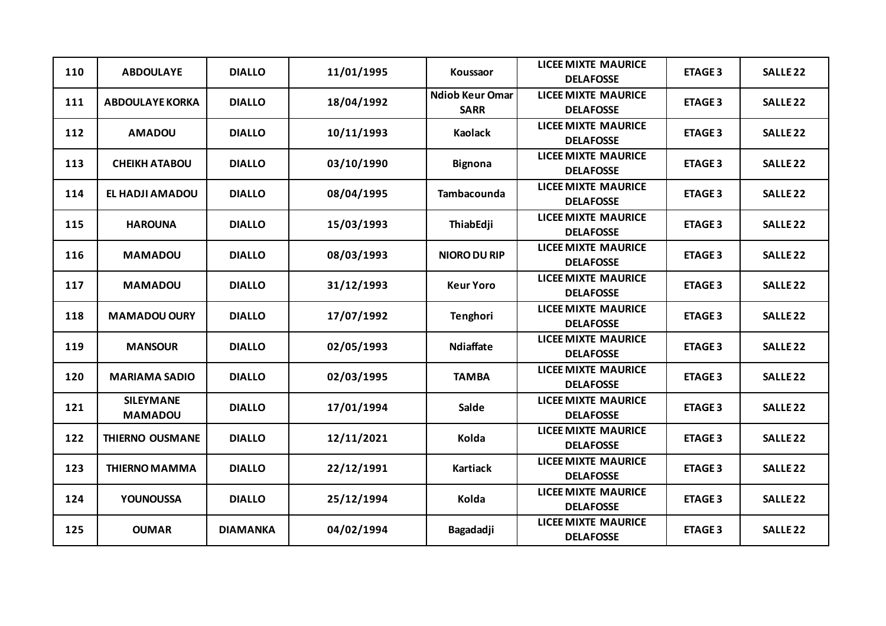| 110 | <b>ABDOULAYE</b>                   | <b>DIALLO</b>   | 11/01/1995 | Koussaor                              | <b>LICEE MIXTE MAURICE</b><br><b>DELAFOSSE</b> | <b>ETAGE 3</b> | <b>SALLE 22</b> |
|-----|------------------------------------|-----------------|------------|---------------------------------------|------------------------------------------------|----------------|-----------------|
| 111 | <b>ABDOULAYE KORKA</b>             | <b>DIALLO</b>   | 18/04/1992 | <b>Ndiob Keur Omar</b><br><b>SARR</b> | <b>LICEE MIXTE MAURICE</b><br><b>DELAFOSSE</b> | <b>ETAGE 3</b> | <b>SALLE 22</b> |
| 112 | <b>AMADOU</b>                      | <b>DIALLO</b>   | 10/11/1993 | <b>Kaolack</b>                        | <b>LICEE MIXTE MAURICE</b><br><b>DELAFOSSE</b> | <b>ETAGE 3</b> | <b>SALLE 22</b> |
| 113 | <b>CHEIKH ATABOU</b>               | <b>DIALLO</b>   | 03/10/1990 | <b>Bignona</b>                        | <b>LICEE MIXTE MAURICE</b><br><b>DELAFOSSE</b> | <b>ETAGE 3</b> | <b>SALLE 22</b> |
| 114 | EL HADJI AMADOU                    | <b>DIALLO</b>   | 08/04/1995 | <b>Tambacounda</b>                    | <b>LICEE MIXTE MAURICE</b><br><b>DELAFOSSE</b> | <b>ETAGE 3</b> | <b>SALLE 22</b> |
| 115 | <b>HAROUNA</b>                     | <b>DIALLO</b>   | 15/03/1993 | ThiabEdji                             | <b>LICEE MIXTE MAURICE</b><br><b>DELAFOSSE</b> | <b>ETAGE 3</b> | <b>SALLE 22</b> |
| 116 | <b>MAMADOU</b>                     | <b>DIALLO</b>   | 08/03/1993 | <b>NIORO DU RIP</b>                   | <b>LICEE MIXTE MAURICE</b><br><b>DELAFOSSE</b> | <b>ETAGE 3</b> | <b>SALLE 22</b> |
| 117 | <b>MAMADOU</b>                     | <b>DIALLO</b>   | 31/12/1993 | <b>Keur Yoro</b>                      | <b>LICEE MIXTE MAURICE</b><br><b>DELAFOSSE</b> | <b>ETAGE 3</b> | <b>SALLE 22</b> |
| 118 | <b>MAMADOU OURY</b>                | <b>DIALLO</b>   | 17/07/1992 | Tenghori                              | <b>LICEE MIXTE MAURICE</b><br><b>DELAFOSSE</b> | <b>ETAGE 3</b> | <b>SALLE 22</b> |
| 119 | <b>MANSOUR</b>                     | <b>DIALLO</b>   | 02/05/1993 | <b>Ndiaffate</b>                      | <b>LICEE MIXTE MAURICE</b><br><b>DELAFOSSE</b> | <b>ETAGE 3</b> | <b>SALLE 22</b> |
| 120 | <b>MARIAMA SADIO</b>               | <b>DIALLO</b>   | 02/03/1995 | <b>TAMBA</b>                          | <b>LICEE MIXTE MAURICE</b><br><b>DELAFOSSE</b> | <b>ETAGE 3</b> | <b>SALLE 22</b> |
| 121 | <b>SILEYMANE</b><br><b>MAMADOU</b> | <b>DIALLO</b>   | 17/01/1994 | <b>Salde</b>                          | <b>LICEE MIXTE MAURICE</b><br><b>DELAFOSSE</b> | <b>ETAGE 3</b> | <b>SALLE 22</b> |
| 122 | <b>THIERNO OUSMANE</b>             | <b>DIALLO</b>   | 12/11/2021 | Kolda                                 | <b>LICEE MIXTE MAURICE</b><br><b>DELAFOSSE</b> | <b>ETAGE 3</b> | <b>SALLE 22</b> |
| 123 | <b>THIERNO MAMMA</b>               | <b>DIALLO</b>   | 22/12/1991 | <b>Kartiack</b>                       | <b>LICEE MIXTE MAURICE</b><br><b>DELAFOSSE</b> | <b>ETAGE 3</b> | <b>SALLE 22</b> |
| 124 | <b>YOUNOUSSA</b>                   | <b>DIALLO</b>   | 25/12/1994 | Kolda                                 | <b>LICEE MIXTE MAURICE</b><br><b>DELAFOSSE</b> | <b>ETAGE 3</b> | <b>SALLE 22</b> |
| 125 | <b>OUMAR</b>                       | <b>DIAMANKA</b> | 04/02/1994 | Bagadadji                             | <b>LICEE MIXTE MAURICE</b><br><b>DELAFOSSE</b> | <b>ETAGE 3</b> | <b>SALLE 22</b> |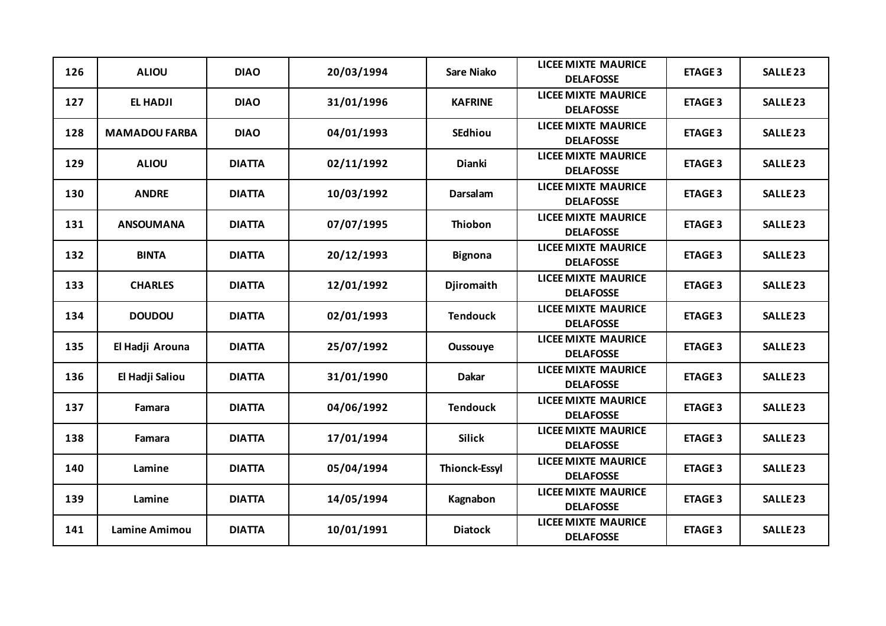| 126 | <b>ALIOU</b>         | <b>DIAO</b>   | 20/03/1994 | Sare Niako           | <b>LICEE MIXTE MAURICE</b><br><b>DELAFOSSE</b> | <b>ETAGE 3</b> | <b>SALLE 23</b> |
|-----|----------------------|---------------|------------|----------------------|------------------------------------------------|----------------|-----------------|
| 127 | <b>EL HADJI</b>      | <b>DIAO</b>   | 31/01/1996 | <b>KAFRINE</b>       | <b>LICEE MIXTE MAURICE</b><br><b>DELAFOSSE</b> | <b>ETAGE 3</b> | <b>SALLE 23</b> |
| 128 | <b>MAMADOU FARBA</b> | <b>DIAO</b>   | 04/01/1993 | <b>SEdhiou</b>       | <b>LICEE MIXTE MAURICE</b><br><b>DELAFOSSE</b> | <b>ETAGE 3</b> | <b>SALLE 23</b> |
| 129 | <b>ALIOU</b>         | <b>DIATTA</b> | 02/11/1992 | Dianki               | <b>LICEE MIXTE MAURICE</b><br><b>DELAFOSSE</b> | <b>ETAGE 3</b> | <b>SALLE 23</b> |
| 130 | <b>ANDRE</b>         | <b>DIATTA</b> | 10/03/1992 | Darsalam             | <b>LICEE MIXTE MAURICE</b><br><b>DELAFOSSE</b> | <b>ETAGE 3</b> | <b>SALLE 23</b> |
| 131 | <b>ANSOUMANA</b>     | <b>DIATTA</b> | 07/07/1995 | <b>Thiobon</b>       | <b>LICEE MIXTE MAURICE</b><br><b>DELAFOSSE</b> | <b>ETAGE 3</b> | <b>SALLE 23</b> |
| 132 | <b>BINTA</b>         | <b>DIATTA</b> | 20/12/1993 | <b>Bignona</b>       | <b>LICEE MIXTE MAURICE</b><br><b>DELAFOSSE</b> | <b>ETAGE 3</b> | <b>SALLE 23</b> |
| 133 | <b>CHARLES</b>       | <b>DIATTA</b> | 12/01/1992 | <b>Djiromaith</b>    | <b>LICEE MIXTE MAURICE</b><br><b>DELAFOSSE</b> | <b>ETAGE 3</b> | <b>SALLE 23</b> |
| 134 | <b>DOUDOU</b>        | <b>DIATTA</b> | 02/01/1993 | <b>Tendouck</b>      | <b>LICEE MIXTE MAURICE</b><br><b>DELAFOSSE</b> | <b>ETAGE 3</b> | <b>SALLE 23</b> |
| 135 | El Hadji Arouna      | <b>DIATTA</b> | 25/07/1992 | Oussouye             | <b>LICEE MIXTE MAURICE</b><br><b>DELAFOSSE</b> | <b>ETAGE 3</b> | <b>SALLE 23</b> |
| 136 | El Hadji Saliou      | <b>DIATTA</b> | 31/01/1990 | <b>Dakar</b>         | <b>LICEE MIXTE MAURICE</b><br><b>DELAFOSSE</b> | <b>ETAGE 3</b> | <b>SALLE 23</b> |
| 137 | Famara               | <b>DIATTA</b> | 04/06/1992 | <b>Tendouck</b>      | <b>LICEE MIXTE MAURICE</b><br><b>DELAFOSSE</b> | <b>ETAGE 3</b> | <b>SALLE 23</b> |
| 138 | Famara               | <b>DIATTA</b> | 17/01/1994 | <b>Silick</b>        | <b>LICEE MIXTE MAURICE</b><br><b>DELAFOSSE</b> | <b>ETAGE 3</b> | <b>SALLE 23</b> |
| 140 | Lamine               | <b>DIATTA</b> | 05/04/1994 | <b>Thionck-Essyl</b> | <b>LICEE MIXTE MAURICE</b><br><b>DELAFOSSE</b> | <b>ETAGE 3</b> | <b>SALLE 23</b> |
| 139 | Lamine               | <b>DIATTA</b> | 14/05/1994 | Kagnabon             | <b>LICEE MIXTE MAURICE</b><br><b>DELAFOSSE</b> | <b>ETAGE 3</b> | <b>SALLE 23</b> |
| 141 | <b>Lamine Amimou</b> | <b>DIATTA</b> | 10/01/1991 | <b>Diatock</b>       | <b>LICEE MIXTE MAURICE</b><br><b>DELAFOSSE</b> | <b>ETAGE 3</b> | <b>SALLE 23</b> |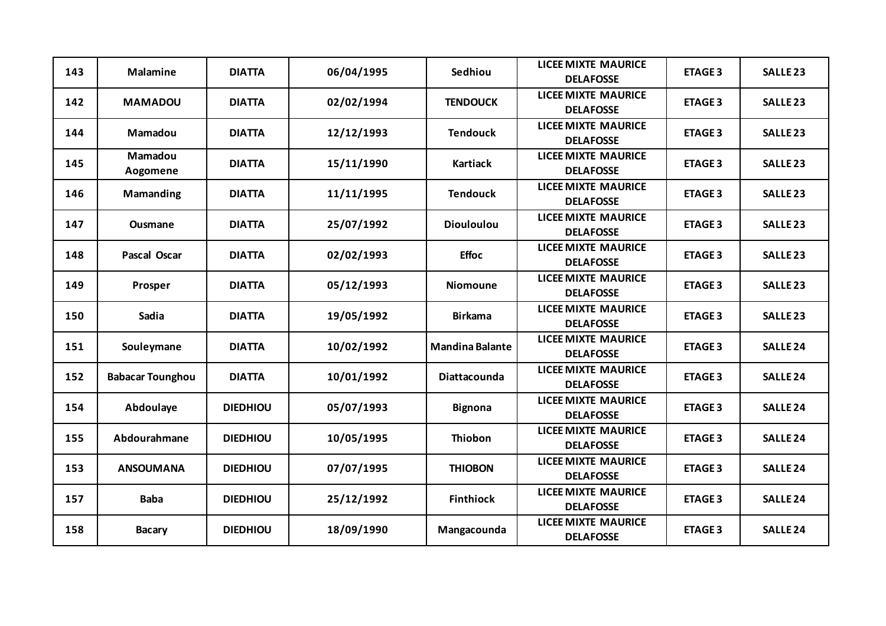| 143 | <b>Malamine</b>         | <b>DIATTA</b>   | 06/04/1995 | Sedhiou                | <b>LICEE MIXTE MAURICE</b><br><b>DELAFOSSE</b> | <b>ETAGE 3</b> | <b>SALLE 23</b> |
|-----|-------------------------|-----------------|------------|------------------------|------------------------------------------------|----------------|-----------------|
| 142 | <b>MAMADOU</b>          | <b>DIATTA</b>   | 02/02/1994 | <b>TENDOUCK</b>        | <b>LICEE MIXTE MAURICE</b><br><b>DELAFOSSE</b> | <b>ETAGE 3</b> | <b>SALLE 23</b> |
| 144 | Mamadou                 | <b>DIATTA</b>   | 12/12/1993 | <b>Tendouck</b>        | <b>LICEE MIXTE MAURICE</b><br><b>DELAFOSSE</b> | <b>ETAGE 3</b> | <b>SALLE 23</b> |
| 145 | Mamadou<br>Aogomene     | <b>DIATTA</b>   | 15/11/1990 | Kartiack               | <b>LICEE MIXTE MAURICE</b><br><b>DELAFOSSE</b> | <b>ETAGE 3</b> | <b>SALLE 23</b> |
| 146 | Mamanding               | <b>DIATTA</b>   | 11/11/1995 | <b>Tendouck</b>        | <b>LICEE MIXTE MAURICE</b><br><b>DELAFOSSE</b> | <b>ETAGE 3</b> | <b>SALLE 23</b> |
| 147 | <b>Ousmane</b>          | <b>DIATTA</b>   | 25/07/1992 | <b>Diouloulou</b>      | <b>LICEE MIXTE MAURICE</b><br><b>DELAFOSSE</b> | <b>ETAGE 3</b> | <b>SALLE 23</b> |
| 148 | <b>Pascal Oscar</b>     | <b>DIATTA</b>   | 02/02/1993 | <b>Effoc</b>           | <b>LICEE MIXTE MAURICE</b><br><b>DELAFOSSE</b> | <b>ETAGE 3</b> | <b>SALLE 23</b> |
| 149 | Prosper                 | <b>DIATTA</b>   | 05/12/1993 | <b>Niomoune</b>        | <b>LICEE MIXTE MAURICE</b><br><b>DELAFOSSE</b> | <b>ETAGE 3</b> | <b>SALLE 23</b> |
| 150 | Sadia                   | <b>DIATTA</b>   | 19/05/1992 | <b>Birkama</b>         | <b>LICEE MIXTE MAURICE</b><br><b>DELAFOSSE</b> | <b>ETAGE 3</b> | <b>SALLE 23</b> |
| 151 | Souleymane              | <b>DIATTA</b>   | 10/02/1992 | <b>Mandina Balante</b> | <b>LICEE MIXTE MAURICE</b><br><b>DELAFOSSE</b> | <b>ETAGE 3</b> | <b>SALLE 24</b> |
| 152 | <b>Babacar Tounghou</b> | <b>DIATTA</b>   | 10/01/1992 | <b>Diattacounda</b>    | <b>LICEE MIXTE MAURICE</b><br><b>DELAFOSSE</b> | <b>ETAGE 3</b> | <b>SALLE 24</b> |
| 154 | Abdoulaye               | <b>DIEDHIOU</b> | 05/07/1993 | <b>Bignona</b>         | <b>LICEE MIXTE MAURICE</b><br><b>DELAFOSSE</b> | <b>ETAGE 3</b> | <b>SALLE 24</b> |
| 155 | Abdourahmane            | <b>DIEDHIOU</b> | 10/05/1995 | Thiobon                | <b>LICEE MIXTE MAURICE</b><br><b>DELAFOSSE</b> | <b>ETAGE 3</b> | <b>SALLE 24</b> |
| 153 | <b>ANSOUMANA</b>        | <b>DIEDHIOU</b> | 07/07/1995 | <b>THIOBON</b>         | <b>LICEE MIXTE MAURICE</b><br><b>DELAFOSSE</b> | <b>ETAGE 3</b> | <b>SALLE 24</b> |
| 157 | <b>Baba</b>             | <b>DIEDHIOU</b> | 25/12/1992 | <b>Finthiock</b>       | <b>LICEE MIXTE MAURICE</b><br><b>DELAFOSSE</b> | <b>ETAGE 3</b> | <b>SALLE 24</b> |
| 158 | <b>Bacary</b>           | <b>DIEDHIOU</b> | 18/09/1990 | Mangacounda            | <b>LICEE MIXTE MAURICE</b><br><b>DELAFOSSE</b> | <b>ETAGE 3</b> | <b>SALLE 24</b> |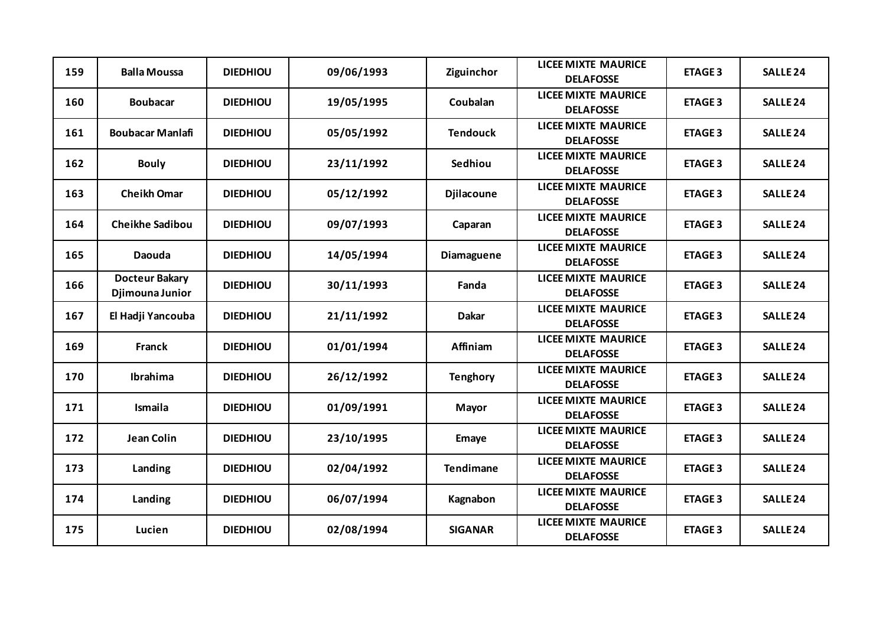| 159 | <b>Balla Moussa</b>                      | <b>DIEDHIOU</b> | 09/06/1993 | Ziguinchor        | <b>LICEE MIXTE MAURICE</b><br><b>DELAFOSSE</b> | <b>ETAGE 3</b> | <b>SALLE 24</b> |
|-----|------------------------------------------|-----------------|------------|-------------------|------------------------------------------------|----------------|-----------------|
| 160 | <b>Boubacar</b>                          | <b>DIEDHIOU</b> | 19/05/1995 | Coubalan          | <b>LICEE MIXTE MAURICE</b><br><b>DELAFOSSE</b> | <b>ETAGE 3</b> | <b>SALLE 24</b> |
| 161 | <b>Boubacar Manlafi</b>                  | <b>DIEDHIOU</b> | 05/05/1992 | <b>Tendouck</b>   | <b>LICEE MIXTE MAURICE</b><br><b>DELAFOSSE</b> | <b>ETAGE 3</b> | <b>SALLE 24</b> |
| 162 | <b>Bouly</b>                             | <b>DIEDHIOU</b> | 23/11/1992 | Sedhiou           | <b>LICEE MIXTE MAURICE</b><br><b>DELAFOSSE</b> | <b>ETAGE 3</b> | <b>SALLE 24</b> |
| 163 | <b>Cheikh Omar</b>                       | <b>DIEDHIOU</b> | 05/12/1992 | <b>Djilacoune</b> | <b>LICEE MIXTE MAURICE</b><br><b>DELAFOSSE</b> | <b>ETAGE 3</b> | <b>SALLE 24</b> |
| 164 | <b>Cheikhe Sadibou</b>                   | <b>DIEDHIOU</b> | 09/07/1993 | Caparan           | <b>LICEE MIXTE MAURICE</b><br><b>DELAFOSSE</b> | <b>ETAGE 3</b> | <b>SALLE 24</b> |
| 165 | Daouda                                   | <b>DIEDHIOU</b> | 14/05/1994 | Diamaguene        | <b>LICEE MIXTE MAURICE</b><br><b>DELAFOSSE</b> | <b>ETAGE 3</b> | <b>SALLE 24</b> |
| 166 | <b>Docteur Bakary</b><br>Djimouna Junior | <b>DIEDHIOU</b> | 30/11/1993 | Fanda             | <b>LICEE MIXTE MAURICE</b><br><b>DELAFOSSE</b> | <b>ETAGE 3</b> | <b>SALLE 24</b> |
| 167 | El Hadji Yancouba                        | <b>DIEDHIOU</b> | 21/11/1992 | <b>Dakar</b>      | <b>LICEE MIXTE MAURICE</b><br><b>DELAFOSSE</b> | <b>ETAGE 3</b> | <b>SALLE 24</b> |
| 169 | Franck                                   | <b>DIEDHIOU</b> | 01/01/1994 | Affiniam          | <b>LICEE MIXTE MAURICE</b><br><b>DELAFOSSE</b> | <b>ETAGE 3</b> | <b>SALLE 24</b> |
| 170 | Ibrahima                                 | <b>DIEDHIOU</b> | 26/12/1992 | <b>Tenghory</b>   | <b>LICEE MIXTE MAURICE</b><br><b>DELAFOSSE</b> | <b>ETAGE 3</b> | <b>SALLE 24</b> |
| 171 | Ismaila                                  | <b>DIEDHIOU</b> | 01/09/1991 | <b>Mayor</b>      | <b>LICEE MIXTE MAURICE</b><br><b>DELAFOSSE</b> | <b>ETAGE 3</b> | <b>SALLE 24</b> |
| 172 | <b>Jean Colin</b>                        | <b>DIEDHIOU</b> | 23/10/1995 | <b>Emaye</b>      | <b>LICEE MIXTE MAURICE</b><br><b>DELAFOSSE</b> | <b>ETAGE 3</b> | <b>SALLE 24</b> |
| 173 | Landing                                  | <b>DIEDHIOU</b> | 02/04/1992 | <b>Tendimane</b>  | <b>LICEE MIXTE MAURICE</b><br><b>DELAFOSSE</b> | <b>ETAGE 3</b> | <b>SALLE 24</b> |
| 174 | Landing                                  | <b>DIEDHIOU</b> | 06/07/1994 | Kagnabon          | <b>LICEE MIXTE MAURICE</b><br><b>DELAFOSSE</b> | <b>ETAGE 3</b> | <b>SALLE 24</b> |
| 175 | Lucien                                   | <b>DIEDHIOU</b> | 02/08/1994 | <b>SIGANAR</b>    | <b>LICEE MIXTE MAURICE</b><br><b>DELAFOSSE</b> | <b>ETAGE 3</b> | <b>SALLE 24</b> |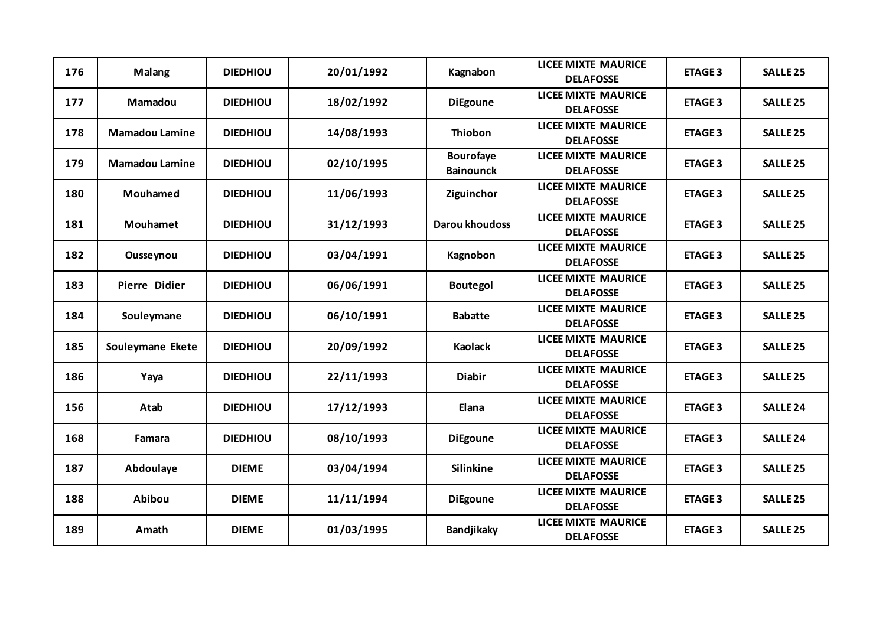| 176 | <b>Malang</b>         | <b>DIEDHIOU</b> | 20/01/1992 | Kagnabon                             | <b>LICEE MIXTE MAURICE</b><br><b>DELAFOSSE</b> | <b>ETAGE 3</b> | <b>SALLE 25</b> |
|-----|-----------------------|-----------------|------------|--------------------------------------|------------------------------------------------|----------------|-----------------|
| 177 | <b>Mamadou</b>        | <b>DIEDHIOU</b> | 18/02/1992 | <b>DiEgoune</b>                      | <b>LICEE MIXTE MAURICE</b><br><b>DELAFOSSE</b> | <b>ETAGE 3</b> | <b>SALLE 25</b> |
| 178 | <b>Mamadou Lamine</b> | <b>DIEDHIOU</b> | 14/08/1993 | <b>Thiobon</b>                       | <b>LICEE MIXTE MAURICE</b><br><b>DELAFOSSE</b> | <b>ETAGE 3</b> | <b>SALLE 25</b> |
| 179 | <b>Mamadou Lamine</b> | <b>DIEDHIOU</b> | 02/10/1995 | <b>Bourofaye</b><br><b>Bainounck</b> | <b>LICEE MIXTE MAURICE</b><br><b>DELAFOSSE</b> | <b>ETAGE 3</b> | <b>SALLE 25</b> |
| 180 | <b>Mouhamed</b>       | <b>DIEDHIOU</b> | 11/06/1993 | Ziguinchor                           | <b>LICEE MIXTE MAURICE</b><br><b>DELAFOSSE</b> | <b>ETAGE 3</b> | <b>SALLE 25</b> |
| 181 | Mouhamet              | <b>DIEDHIOU</b> | 31/12/1993 | Darou khoudoss                       | <b>LICEE MIXTE MAURICE</b><br><b>DELAFOSSE</b> | <b>ETAGE 3</b> | <b>SALLE 25</b> |
| 182 | Ousseynou             | <b>DIEDHIOU</b> | 03/04/1991 | Kagnobon                             | <b>LICEE MIXTE MAURICE</b><br><b>DELAFOSSE</b> | <b>ETAGE 3</b> | <b>SALLE 25</b> |
| 183 | <b>Pierre Didier</b>  | <b>DIEDHIOU</b> | 06/06/1991 | <b>Boutegol</b>                      | <b>LICEE MIXTE MAURICE</b><br><b>DELAFOSSE</b> | <b>ETAGE 3</b> | <b>SALLE 25</b> |
| 184 | Souleymane            | <b>DIEDHIOU</b> | 06/10/1991 | <b>Babatte</b>                       | <b>LICEE MIXTE MAURICE</b><br><b>DELAFOSSE</b> | <b>ETAGE 3</b> | <b>SALLE 25</b> |
| 185 | Souleymane Ekete      | <b>DIEDHIOU</b> | 20/09/1992 | <b>Kaolack</b>                       | <b>LICEE MIXTE MAURICE</b><br><b>DELAFOSSE</b> | <b>ETAGE 3</b> | <b>SALLE 25</b> |
| 186 | Yaya                  | <b>DIEDHIOU</b> | 22/11/1993 | <b>Diabir</b>                        | <b>LICEE MIXTE MAURICE</b><br><b>DELAFOSSE</b> | <b>ETAGE 3</b> | <b>SALLE 25</b> |
| 156 | Atab                  | <b>DIEDHIOU</b> | 17/12/1993 | Elana                                | <b>LICEE MIXTE MAURICE</b><br><b>DELAFOSSE</b> | <b>ETAGE 3</b> | <b>SALLE 24</b> |
| 168 | Famara                | <b>DIEDHIOU</b> | 08/10/1993 | <b>DiEgoune</b>                      | <b>LICEE MIXTE MAURICE</b><br><b>DELAFOSSE</b> | <b>ETAGE 3</b> | <b>SALLE 24</b> |
| 187 | Abdoulaye             | <b>DIEME</b>    | 03/04/1994 | <b>Silinkine</b>                     | <b>LICEE MIXTE MAURICE</b><br><b>DELAFOSSE</b> | <b>ETAGE 3</b> | <b>SALLE 25</b> |
| 188 | Abibou                | <b>DIEME</b>    | 11/11/1994 | <b>DiEgoune</b>                      | <b>LICEE MIXTE MAURICE</b><br><b>DELAFOSSE</b> | <b>ETAGE 3</b> | <b>SALLE 25</b> |
| 189 | Amath                 | <b>DIEME</b>    | 01/03/1995 | Bandjikaky                           | <b>LICEE MIXTE MAURICE</b><br><b>DELAFOSSE</b> | <b>ETAGE 3</b> | <b>SALLE 25</b> |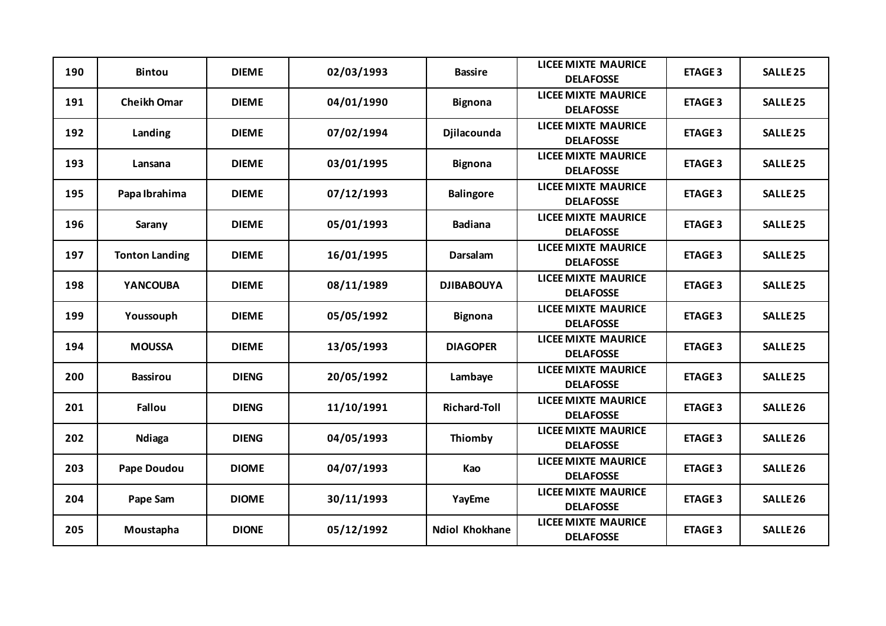| 190 | <b>Bintou</b>         | <b>DIEME</b> | 02/03/1993 | <b>Bassire</b>        | <b>LICEE MIXTE MAURICE</b><br><b>DELAFOSSE</b> | <b>ETAGE 3</b> | <b>SALLE 25</b>     |
|-----|-----------------------|--------------|------------|-----------------------|------------------------------------------------|----------------|---------------------|
| 191 | <b>Cheikh Omar</b>    | <b>DIEME</b> | 04/01/1990 | <b>Bignona</b>        | <b>LICEE MIXTE MAURICE</b><br><b>DELAFOSSE</b> | <b>ETAGE 3</b> | <b>SALLE 25</b>     |
| 192 | Landing               | <b>DIEME</b> | 07/02/1994 | Djilacounda           | <b>LICEE MIXTE MAURICE</b><br><b>DELAFOSSE</b> | <b>ETAGE 3</b> | <b>SALLE 25</b>     |
| 193 | Lansana               | <b>DIEME</b> | 03/01/1995 | <b>Bignona</b>        | <b>LICEE MIXTE MAURICE</b><br><b>DELAFOSSE</b> | <b>ETAGE 3</b> | <b>SALLE 25</b>     |
| 195 | Papa Ibrahima         | <b>DIEME</b> | 07/12/1993 | <b>Balingore</b>      | <b>LICEE MIXTE MAURICE</b><br><b>DELAFOSSE</b> | <b>ETAGE 3</b> | <b>SALLE 25</b>     |
| 196 | Sarany                | <b>DIEME</b> | 05/01/1993 | <b>Badiana</b>        | <b>LICEE MIXTE MAURICE</b><br><b>DELAFOSSE</b> | <b>ETAGE 3</b> | <b>SALLE 25</b>     |
| 197 | <b>Tonton Landing</b> | <b>DIEME</b> | 16/01/1995 | <b>Darsalam</b>       | <b>LICEE MIXTE MAURICE</b><br><b>DELAFOSSE</b> | <b>ETAGE 3</b> | <b>SALLE 25</b>     |
| 198 | <b>YANCOUBA</b>       | <b>DIEME</b> | 08/11/1989 | <b>DJIBABOUYA</b>     | <b>LICEE MIXTE MAURICE</b><br><b>DELAFOSSE</b> | <b>ETAGE 3</b> | <b>SALLE 25</b>     |
| 199 | Youssouph             | <b>DIEME</b> | 05/05/1992 | <b>Bignona</b>        | <b>LICEE MIXTE MAURICE</b><br><b>DELAFOSSE</b> | <b>ETAGE 3</b> | <b>SALLE 25</b>     |
| 194 | <b>MOUSSA</b>         | <b>DIEME</b> | 13/05/1993 | <b>DIAGOPER</b>       | <b>LICEE MIXTE MAURICE</b><br><b>DELAFOSSE</b> | <b>ETAGE 3</b> | <b>SALLE 25</b>     |
| 200 | <b>Bassirou</b>       | <b>DIENG</b> | 20/05/1992 | Lambaye               | <b>LICEE MIXTE MAURICE</b><br><b>DELAFOSSE</b> | <b>ETAGE 3</b> | <b>SALLE 25</b>     |
| 201 | <b>Fallou</b>         | <b>DIENG</b> | 11/10/1991 | <b>Richard-Toll</b>   | <b>LICEE MIXTE MAURICE</b><br><b>DELAFOSSE</b> | <b>ETAGE 3</b> | <b>SALLE 26</b>     |
| 202 | <b>Ndiaga</b>         | <b>DIENG</b> | 04/05/1993 | Thiomby               | <b>LICEE MIXTE MAURICE</b><br><b>DELAFOSSE</b> | <b>ETAGE 3</b> | <b>SALLE 26</b>     |
| 203 | Pape Doudou           | <b>DIOME</b> | 04/07/1993 | Kao                   | <b>LICEE MIXTE MAURICE</b><br><b>DELAFOSSE</b> | <b>ETAGE 3</b> | <b>SALLE 26</b>     |
| 204 | Pape Sam              | <b>DIOME</b> | 30/11/1993 | YayEme                | <b>LICEE MIXTE MAURICE</b><br><b>DELAFOSSE</b> | <b>ETAGE 3</b> | <b>SALLE 26</b>     |
| 205 | Moustapha             | <b>DIONE</b> | 05/12/1992 | <b>Ndiol Khokhane</b> | <b>LICEE MIXTE MAURICE</b><br><b>DELAFOSSE</b> | <b>ETAGE 3</b> | SALLE <sub>26</sub> |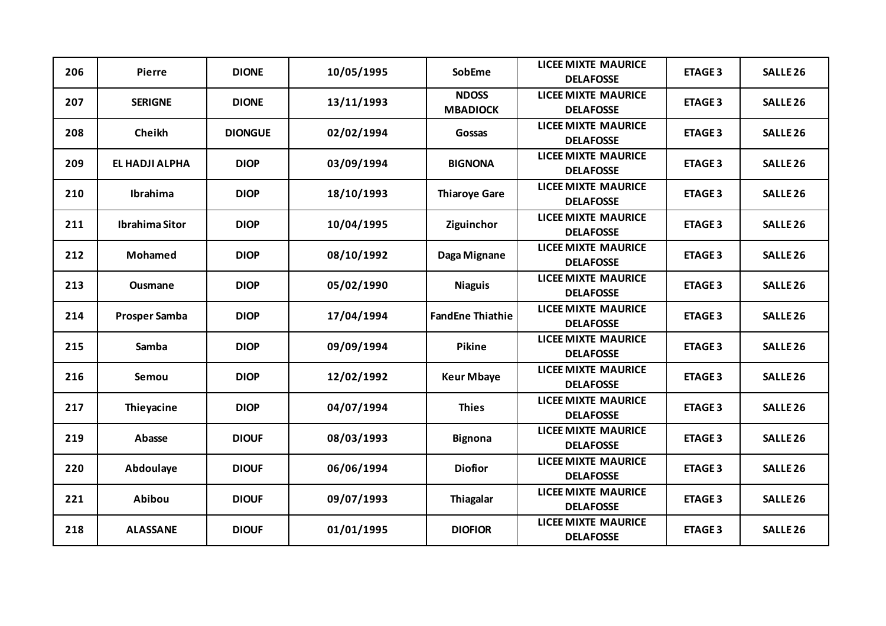| 206 | <b>Pierre</b>        | <b>DIONE</b>   | 10/05/1995 | SobEme                          | <b>LICEE MIXTE MAURICE</b><br><b>DELAFOSSE</b> | <b>ETAGE 3</b> | <b>SALLE 26</b>     |
|-----|----------------------|----------------|------------|---------------------------------|------------------------------------------------|----------------|---------------------|
| 207 | <b>SERIGNE</b>       | <b>DIONE</b>   | 13/11/1993 | <b>NDOSS</b><br><b>MBADIOCK</b> | <b>LICEE MIXTE MAURICE</b><br><b>DELAFOSSE</b> | <b>ETAGE 3</b> | <b>SALLE 26</b>     |
| 208 | Cheikh               | <b>DIONGUE</b> | 02/02/1994 | Gossas                          | <b>LICEE MIXTE MAURICE</b><br><b>DELAFOSSE</b> | <b>ETAGE 3</b> | <b>SALLE 26</b>     |
| 209 | EL HADJI ALPHA       | <b>DIOP</b>    | 03/09/1994 | <b>BIGNONA</b>                  | <b>LICEE MIXTE MAURICE</b><br><b>DELAFOSSE</b> | <b>ETAGE 3</b> | SALLE <sub>26</sub> |
| 210 | <b>Ibrahima</b>      | <b>DIOP</b>    | 18/10/1993 | <b>Thiaroye Gare</b>            | <b>LICEE MIXTE MAURICE</b><br><b>DELAFOSSE</b> | <b>ETAGE 3</b> | <b>SALLE 26</b>     |
| 211 | Ibrahima Sitor       | <b>DIOP</b>    | 10/04/1995 | Ziguinchor                      | <b>LICEE MIXTE MAURICE</b><br><b>DELAFOSSE</b> | <b>ETAGE 3</b> | <b>SALLE 26</b>     |
| 212 | Mohamed              | <b>DIOP</b>    | 08/10/1992 | Daga Mignane                    | <b>LICEE MIXTE MAURICE</b><br><b>DELAFOSSE</b> | <b>ETAGE 3</b> | <b>SALLE 26</b>     |
| 213 | <b>Ousmane</b>       | <b>DIOP</b>    | 05/02/1990 | <b>Niaguis</b>                  | <b>LICEE MIXTE MAURICE</b><br><b>DELAFOSSE</b> | <b>ETAGE 3</b> | <b>SALLE 26</b>     |
| 214 | <b>Prosper Samba</b> | <b>DIOP</b>    | 17/04/1994 | <b>FandEne Thiathie</b>         | <b>LICEE MIXTE MAURICE</b><br><b>DELAFOSSE</b> | <b>ETAGE 3</b> | <b>SALLE 26</b>     |
| 215 | <b>Samba</b>         | <b>DIOP</b>    | 09/09/1994 | Pikine                          | <b>LICEE MIXTE MAURICE</b><br><b>DELAFOSSE</b> | <b>ETAGE 3</b> | <b>SALLE 26</b>     |
| 216 | Semou                | <b>DIOP</b>    | 12/02/1992 | <b>Keur Mbaye</b>               | <b>LICEE MIXTE MAURICE</b><br><b>DELAFOSSE</b> | <b>ETAGE 3</b> | <b>SALLE 26</b>     |
| 217 | Thieyacine           | <b>DIOP</b>    | 04/07/1994 | <b>Thies</b>                    | <b>LICEE MIXTE MAURICE</b><br><b>DELAFOSSE</b> | <b>ETAGE 3</b> | SALLE <sub>26</sub> |
| 219 | Abasse               | <b>DIOUF</b>   | 08/03/1993 | <b>Bignona</b>                  | <b>LICEE MIXTE MAURICE</b><br><b>DELAFOSSE</b> | <b>ETAGE 3</b> | SALLE <sub>26</sub> |
| 220 | Abdoulaye            | <b>DIOUF</b>   | 06/06/1994 | <b>Diofior</b>                  | <b>LICEE MIXTE MAURICE</b><br><b>DELAFOSSE</b> | <b>ETAGE 3</b> | <b>SALLE 26</b>     |
| 221 | Abibou               | <b>DIOUF</b>   | 09/07/1993 | Thiagalar                       | <b>LICEE MIXTE MAURICE</b><br><b>DELAFOSSE</b> | <b>ETAGE 3</b> | <b>SALLE 26</b>     |
| 218 | <b>ALASSANE</b>      | <b>DIOUF</b>   | 01/01/1995 | <b>DIOFIOR</b>                  | <b>LICEE MIXTE MAURICE</b><br><b>DELAFOSSE</b> | <b>ETAGE 3</b> | SALLE <sub>26</sub> |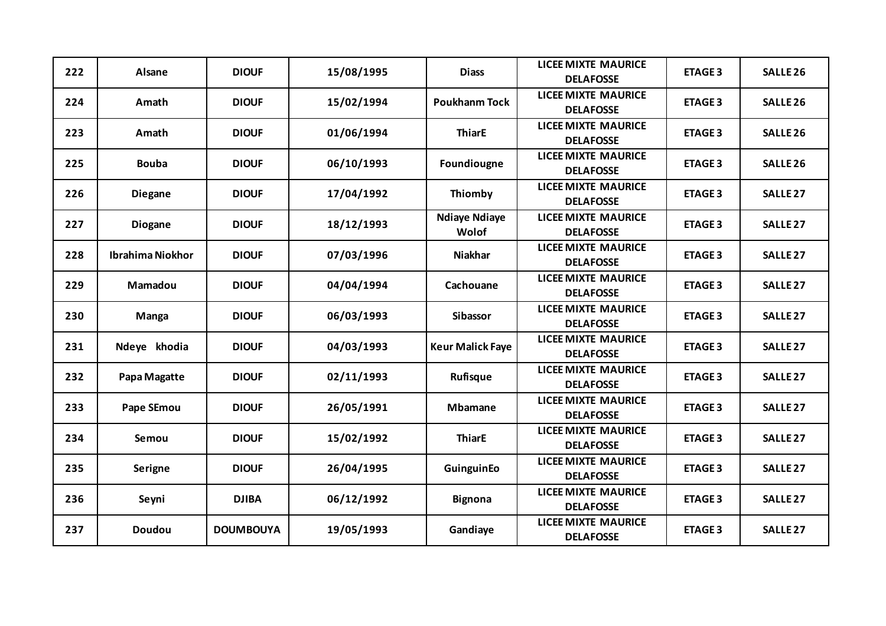| 222 | Alsane           | <b>DIOUF</b>     | 15/08/1995 | <b>Diass</b>                  | <b>LICEE MIXTE MAURICE</b><br><b>DELAFOSSE</b> | <b>ETAGE 3</b> | <b>SALLE 26</b>     |
|-----|------------------|------------------|------------|-------------------------------|------------------------------------------------|----------------|---------------------|
| 224 | Amath            | <b>DIOUF</b>     | 15/02/1994 | <b>Poukhanm Tock</b>          | <b>LICEE MIXTE MAURICE</b><br><b>DELAFOSSE</b> | <b>ETAGE 3</b> | <b>SALLE 26</b>     |
| 223 | Amath            | <b>DIOUF</b>     | 01/06/1994 | <b>ThiarE</b>                 | <b>LICEE MIXTE MAURICE</b><br><b>DELAFOSSE</b> | <b>ETAGE 3</b> | <b>SALLE 26</b>     |
| 225 | <b>Bouba</b>     | <b>DIOUF</b>     | 06/10/1993 | Foundiougne                   | <b>LICEE MIXTE MAURICE</b><br><b>DELAFOSSE</b> | <b>ETAGE 3</b> | SALLE <sub>26</sub> |
| 226 | <b>Diegane</b>   | <b>DIOUF</b>     | 17/04/1992 | Thiomby                       | <b>LICEE MIXTE MAURICE</b><br><b>DELAFOSSE</b> | <b>ETAGE 3</b> | <b>SALLE 27</b>     |
| 227 | <b>Diogane</b>   | <b>DIOUF</b>     | 18/12/1993 | <b>Ndiaye Ndiaye</b><br>Wolof | <b>LICEE MIXTE MAURICE</b><br><b>DELAFOSSE</b> | <b>ETAGE 3</b> | <b>SALLE 27</b>     |
| 228 | Ibrahima Niokhor | <b>DIOUF</b>     | 07/03/1996 | <b>Niakhar</b>                | <b>LICEE MIXTE MAURICE</b><br><b>DELAFOSSE</b> | <b>ETAGE 3</b> | <b>SALLE 27</b>     |
| 229 | Mamadou          | <b>DIOUF</b>     | 04/04/1994 | Cachouane                     | <b>LICEE MIXTE MAURICE</b><br><b>DELAFOSSE</b> | <b>ETAGE 3</b> | <b>SALLE 27</b>     |
| 230 | Manga            | <b>DIOUF</b>     | 06/03/1993 | Sibassor                      | <b>LICEE MIXTE MAURICE</b><br><b>DELAFOSSE</b> | <b>ETAGE 3</b> | <b>SALLE 27</b>     |
| 231 | Ndeye khodia     | <b>DIOUF</b>     | 04/03/1993 | <b>Keur Malick Faye</b>       | <b>LICEE MIXTE MAURICE</b><br><b>DELAFOSSE</b> | <b>ETAGE 3</b> | <b>SALLE 27</b>     |
| 232 | Papa Magatte     | <b>DIOUF</b>     | 02/11/1993 | Rufisque                      | <b>LICEE MIXTE MAURICE</b><br><b>DELAFOSSE</b> | <b>ETAGE 3</b> | <b>SALLE 27</b>     |
| 233 | Pape SEmou       | <b>DIOUF</b>     | 26/05/1991 | <b>Mbamane</b>                | <b>LICEE MIXTE MAURICE</b><br><b>DELAFOSSE</b> | <b>ETAGE 3</b> | <b>SALLE 27</b>     |
| 234 | Semou            | <b>DIOUF</b>     | 15/02/1992 | <b>ThiarE</b>                 | <b>LICEE MIXTE MAURICE</b><br><b>DELAFOSSE</b> | <b>ETAGE 3</b> | <b>SALLE 27</b>     |
| 235 | <b>Serigne</b>   | <b>DIOUF</b>     | 26/04/1995 | GuinguinEo                    | <b>LICEE MIXTE MAURICE</b><br><b>DELAFOSSE</b> | <b>ETAGE 3</b> | <b>SALLE 27</b>     |
| 236 | Seyni            | <b>DJIBA</b>     | 06/12/1992 | <b>Bignona</b>                | <b>LICEE MIXTE MAURICE</b><br><b>DELAFOSSE</b> | <b>ETAGE 3</b> | <b>SALLE 27</b>     |
| 237 | <b>Doudou</b>    | <b>DOUMBOUYA</b> | 19/05/1993 | Gandiaye                      | <b>LICEE MIXTE MAURICE</b><br><b>DELAFOSSE</b> | <b>ETAGE 3</b> | <b>SALLE 27</b>     |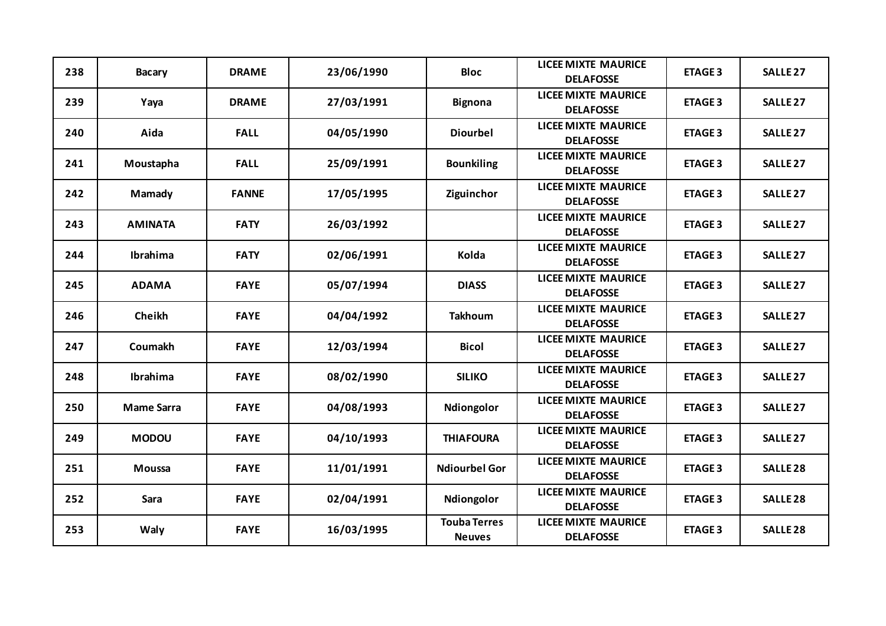| 238 | <b>Bacary</b>     | <b>DRAME</b> | 23/06/1990 | <b>Bloc</b>                          | <b>LICEE MIXTE MAURICE</b><br><b>DELAFOSSE</b> | <b>ETAGE 3</b> | SALLE <sub>27</sub> |
|-----|-------------------|--------------|------------|--------------------------------------|------------------------------------------------|----------------|---------------------|
| 239 | Yaya              | <b>DRAME</b> | 27/03/1991 | <b>Bignona</b>                       | <b>LICEE MIXTE MAURICE</b><br><b>DELAFOSSE</b> | <b>ETAGE 3</b> | <b>SALLE 27</b>     |
| 240 | Aida              | <b>FALL</b>  | 04/05/1990 | <b>Diourbel</b>                      | <b>LICEE MIXTE MAURICE</b><br><b>DELAFOSSE</b> | <b>ETAGE 3</b> | <b>SALLE 27</b>     |
| 241 | Moustapha         | <b>FALL</b>  | 25/09/1991 | <b>Bounkiling</b>                    | <b>LICEE MIXTE MAURICE</b><br><b>DELAFOSSE</b> | <b>ETAGE 3</b> | <b>SALLE 27</b>     |
| 242 | Mamady            | <b>FANNE</b> | 17/05/1995 | Ziguinchor                           | <b>LICEE MIXTE MAURICE</b><br><b>DELAFOSSE</b> | <b>ETAGE 3</b> | <b>SALLE 27</b>     |
| 243 | <b>AMINATA</b>    | <b>FATY</b>  | 26/03/1992 |                                      | <b>LICEE MIXTE MAURICE</b><br><b>DELAFOSSE</b> | <b>ETAGE 3</b> | <b>SALLE 27</b>     |
| 244 | Ibrahima          | <b>FATY</b>  | 02/06/1991 | Kolda                                | <b>LICEE MIXTE MAURICE</b><br><b>DELAFOSSE</b> | <b>ETAGE 3</b> | <b>SALLE 27</b>     |
| 245 | <b>ADAMA</b>      | <b>FAYE</b>  | 05/07/1994 | <b>DIASS</b>                         | <b>LICEE MIXTE MAURICE</b><br><b>DELAFOSSE</b> | <b>ETAGE 3</b> | <b>SALLE 27</b>     |
| 246 | Cheikh            | <b>FAYE</b>  | 04/04/1992 | <b>Takhoum</b>                       | <b>LICEE MIXTE MAURICE</b><br><b>DELAFOSSE</b> | <b>ETAGE 3</b> | <b>SALLE 27</b>     |
| 247 | Coumakh           | <b>FAYE</b>  | 12/03/1994 | <b>Bicol</b>                         | <b>LICEE MIXTE MAURICE</b><br><b>DELAFOSSE</b> | <b>ETAGE 3</b> | <b>SALLE 27</b>     |
| 248 | Ibrahima          | <b>FAYE</b>  | 08/02/1990 | <b>SILIKO</b>                        | <b>LICEE MIXTE MAURICE</b><br><b>DELAFOSSE</b> | <b>ETAGE 3</b> | <b>SALLE 27</b>     |
| 250 | <b>Mame Sarra</b> | <b>FAYE</b>  | 04/08/1993 | Ndiongolor                           | <b>LICEE MIXTE MAURICE</b><br><b>DELAFOSSE</b> | <b>ETAGE 3</b> | <b>SALLE 27</b>     |
| 249 | <b>MODOU</b>      | <b>FAYE</b>  | 04/10/1993 | <b>THIAFOURA</b>                     | <b>LICEE MIXTE MAURICE</b><br><b>DELAFOSSE</b> | <b>ETAGE 3</b> | SALLE <sub>27</sub> |
| 251 | <b>Moussa</b>     | <b>FAYE</b>  | 11/01/1991 | <b>Ndiourbel Gor</b>                 | <b>LICEE MIXTE MAURICE</b><br><b>DELAFOSSE</b> | <b>ETAGE 3</b> | <b>SALLE 28</b>     |
| 252 | Sara              | <b>FAYE</b>  | 02/04/1991 | Ndiongolor                           | <b>LICEE MIXTE MAURICE</b><br><b>DELAFOSSE</b> | <b>ETAGE 3</b> | <b>SALLE 28</b>     |
| 253 | Waly              | <b>FAYE</b>  | 16/03/1995 | <b>Touba Terres</b><br><b>Neuves</b> | <b>LICEE MIXTE MAURICE</b><br><b>DELAFOSSE</b> | <b>ETAGE 3</b> | <b>SALLE 28</b>     |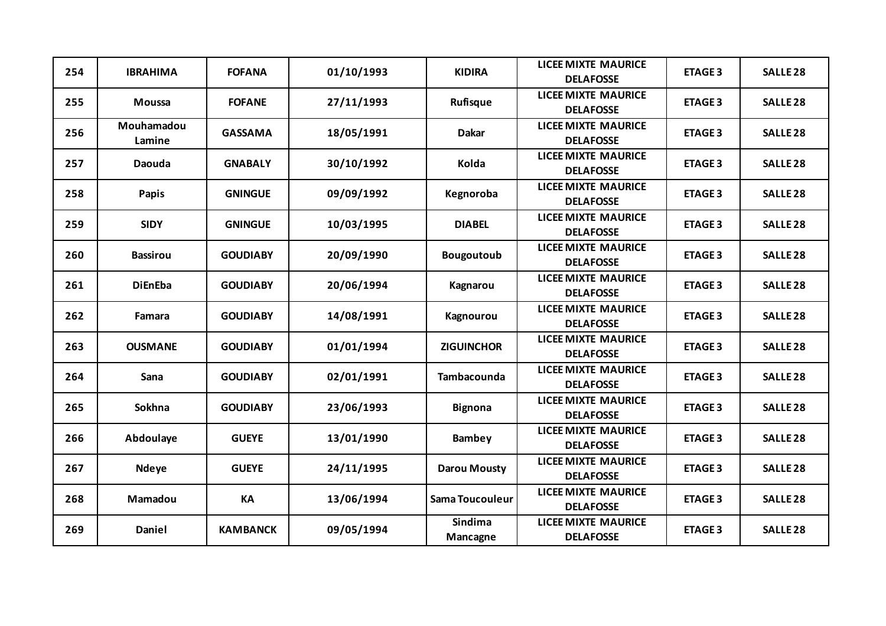| 254 | <b>IBRAHIMA</b>      | <b>FOFANA</b>   | 01/10/1993 | <b>KIDIRA</b>       | <b>LICEE MIXTE MAURICE</b><br><b>DELAFOSSE</b> | <b>ETAGE 3</b> | <b>SALLE 28</b> |
|-----|----------------------|-----------------|------------|---------------------|------------------------------------------------|----------------|-----------------|
| 255 | <b>Moussa</b>        | <b>FOFANE</b>   | 27/11/1993 | Rufisque            | <b>LICEE MIXTE MAURICE</b><br><b>DELAFOSSE</b> | <b>ETAGE 3</b> | <b>SALLE 28</b> |
| 256 | Mouhamadou<br>Lamine | <b>GASSAMA</b>  | 18/05/1991 | <b>Dakar</b>        | <b>LICEE MIXTE MAURICE</b><br><b>DELAFOSSE</b> | <b>ETAGE 3</b> | <b>SALLE 28</b> |
| 257 | Daouda               | <b>GNABALY</b>  | 30/10/1992 | Kolda               | <b>LICEE MIXTE MAURICE</b><br><b>DELAFOSSE</b> | <b>ETAGE 3</b> | <b>SALLE 28</b> |
| 258 | Papis                | <b>GNINGUE</b>  | 09/09/1992 | Kegnoroba           | <b>LICEE MIXTE MAURICE</b><br><b>DELAFOSSE</b> | <b>ETAGE 3</b> | <b>SALLE 28</b> |
| 259 | <b>SIDY</b>          | <b>GNINGUE</b>  | 10/03/1995 | <b>DIABEL</b>       | <b>LICEE MIXTE MAURICE</b><br><b>DELAFOSSE</b> | <b>ETAGE 3</b> | <b>SALLE 28</b> |
| 260 | <b>Bassirou</b>      | <b>GOUDIABY</b> | 20/09/1990 | <b>Bougoutoub</b>   | <b>LICEE MIXTE MAURICE</b><br><b>DELAFOSSE</b> | <b>ETAGE 3</b> | <b>SALLE 28</b> |
| 261 | <b>DiEnEba</b>       | <b>GOUDIABY</b> | 20/06/1994 | Kagnarou            | <b>LICEE MIXTE MAURICE</b><br><b>DELAFOSSE</b> | <b>ETAGE 3</b> | <b>SALLE 28</b> |
| 262 | Famara               | <b>GOUDIABY</b> | 14/08/1991 | Kagnourou           | <b>LICEE MIXTE MAURICE</b><br><b>DELAFOSSE</b> | <b>ETAGE 3</b> | <b>SALLE 28</b> |
| 263 | <b>OUSMANE</b>       | <b>GOUDIABY</b> | 01/01/1994 | <b>ZIGUINCHOR</b>   | <b>LICEE MIXTE MAURICE</b><br><b>DELAFOSSE</b> | <b>ETAGE 3</b> | <b>SALLE 28</b> |
| 264 | Sana                 | <b>GOUDIABY</b> | 02/01/1991 | <b>Tambacounda</b>  | <b>LICEE MIXTE MAURICE</b><br><b>DELAFOSSE</b> | <b>ETAGE 3</b> | <b>SALLE 28</b> |
| 265 | <b>Sokhna</b>        | <b>GOUDIABY</b> | 23/06/1993 | <b>Bignona</b>      | <b>LICEE MIXTE MAURICE</b><br><b>DELAFOSSE</b> | <b>ETAGE 3</b> | <b>SALLE 28</b> |
| 266 | Abdoulaye            | <b>GUEYE</b>    | 13/01/1990 | Bambey              | <b>LICEE MIXTE MAURICE</b><br><b>DELAFOSSE</b> | <b>ETAGE 3</b> | <b>SALLE 28</b> |
| 267 | <b>Ndeye</b>         | <b>GUEYE</b>    | 24/11/1995 | <b>Darou Mousty</b> | <b>LICEE MIXTE MAURICE</b><br><b>DELAFOSSE</b> | <b>ETAGE 3</b> | <b>SALLE 28</b> |
| 268 | Mamadou              | KA              | 13/06/1994 | Sama Toucouleur     | <b>LICEE MIXTE MAURICE</b><br><b>DELAFOSSE</b> | <b>ETAGE 3</b> | <b>SALLE 28</b> |
| 269 | Daniel               | <b>KAMBANCK</b> | 09/05/1994 | Sindima<br>Mancagne | <b>LICEE MIXTE MAURICE</b><br><b>DELAFOSSE</b> | <b>ETAGE 3</b> | <b>SALLE 28</b> |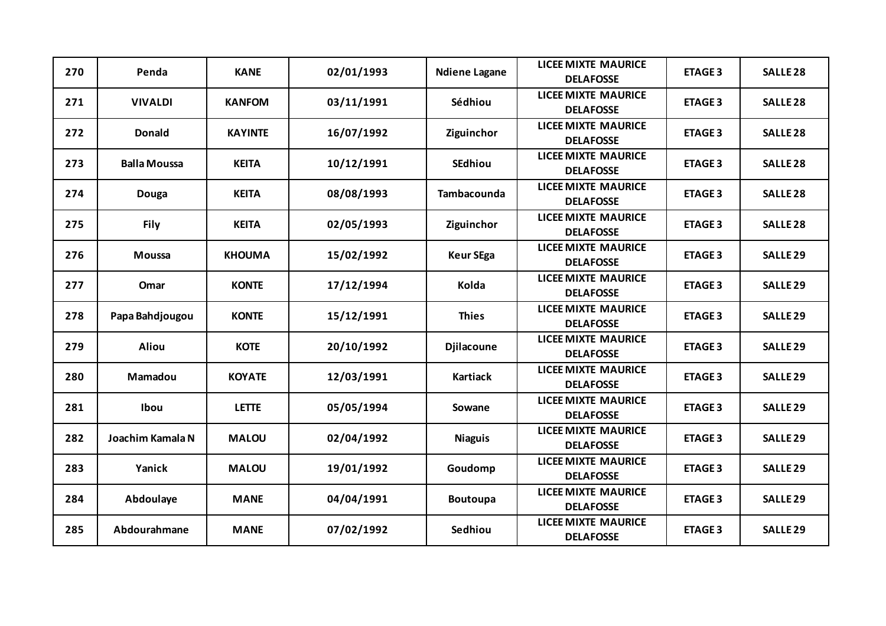| 270 | Penda               | <b>KANE</b>    | 02/01/1993 | <b>Ndiene Lagane</b> | <b>LICEE MIXTE MAURICE</b><br><b>DELAFOSSE</b> | <b>ETAGE 3</b> | <b>SALLE 28</b> |
|-----|---------------------|----------------|------------|----------------------|------------------------------------------------|----------------|-----------------|
| 271 | <b>VIVALDI</b>      | <b>KANFOM</b>  | 03/11/1991 | Sédhiou              | <b>LICEE MIXTE MAURICE</b><br><b>DELAFOSSE</b> | <b>ETAGE 3</b> | <b>SALLE 28</b> |
| 272 | <b>Donald</b>       | <b>KAYINTE</b> | 16/07/1992 | Ziguinchor           | <b>LICEE MIXTE MAURICE</b><br><b>DELAFOSSE</b> | <b>ETAGE 3</b> | <b>SALLE 28</b> |
| 273 | <b>Balla Moussa</b> | <b>KEITA</b>   | 10/12/1991 | <b>SEdhiou</b>       | <b>LICEE MIXTE MAURICE</b><br><b>DELAFOSSE</b> | <b>ETAGE 3</b> | <b>SALLE 28</b> |
| 274 | <b>Douga</b>        | <b>KEITA</b>   | 08/08/1993 | Tambacounda          | <b>LICEE MIXTE MAURICE</b><br><b>DELAFOSSE</b> | <b>ETAGE 3</b> | <b>SALLE 28</b> |
| 275 | <b>Fily</b>         | <b>KEITA</b>   | 02/05/1993 | Ziguinchor           | <b>LICEE MIXTE MAURICE</b><br><b>DELAFOSSE</b> | <b>ETAGE 3</b> | <b>SALLE 28</b> |
| 276 | <b>Moussa</b>       | <b>KHOUMA</b>  | 15/02/1992 | <b>Keur SEga</b>     | <b>LICEE MIXTE MAURICE</b><br><b>DELAFOSSE</b> | <b>ETAGE 3</b> | <b>SALLE 29</b> |
| 277 | Omar                | <b>KONTE</b>   | 17/12/1994 | Kolda                | <b>LICEE MIXTE MAURICE</b><br><b>DELAFOSSE</b> | <b>ETAGE 3</b> | <b>SALLE 29</b> |
| 278 | Papa Bahdjougou     | <b>KONTE</b>   | 15/12/1991 | <b>Thies</b>         | <b>LICEE MIXTE MAURICE</b><br><b>DELAFOSSE</b> | <b>ETAGE 3</b> | <b>SALLE 29</b> |
| 279 | <b>Aliou</b>        | <b>KOTE</b>    | 20/10/1992 | <b>Djilacoune</b>    | <b>LICEE MIXTE MAURICE</b><br><b>DELAFOSSE</b> | <b>ETAGE 3</b> | <b>SALLE 29</b> |
| 280 | Mamadou             | <b>KOYATE</b>  | 12/03/1991 | <b>Kartiack</b>      | <b>LICEE MIXTE MAURICE</b><br><b>DELAFOSSE</b> | <b>ETAGE 3</b> | <b>SALLE 29</b> |
| 281 | Ibou                | <b>LETTE</b>   | 05/05/1994 | Sowane               | <b>LICEE MIXTE MAURICE</b><br><b>DELAFOSSE</b> | <b>ETAGE 3</b> | <b>SALLE 29</b> |
| 282 | Joachim Kamala N    | <b>MALOU</b>   | 02/04/1992 | <b>Niaguis</b>       | <b>LICEE MIXTE MAURICE</b><br><b>DELAFOSSE</b> | <b>ETAGE 3</b> | <b>SALLE 29</b> |
| 283 | Yanick              | <b>MALOU</b>   | 19/01/1992 | Goudomp              | <b>LICEE MIXTE MAURICE</b><br><b>DELAFOSSE</b> | <b>ETAGE 3</b> | <b>SALLE 29</b> |
| 284 | Abdoulaye           | <b>MANE</b>    | 04/04/1991 | <b>Boutoupa</b>      | <b>LICEE MIXTE MAURICE</b><br><b>DELAFOSSE</b> | <b>ETAGE 3</b> | <b>SALLE 29</b> |
| 285 | Abdourahmane        | <b>MANE</b>    | 07/02/1992 | Sedhiou              | <b>LICEE MIXTE MAURICE</b><br><b>DELAFOSSE</b> | <b>ETAGE 3</b> | <b>SALLE 29</b> |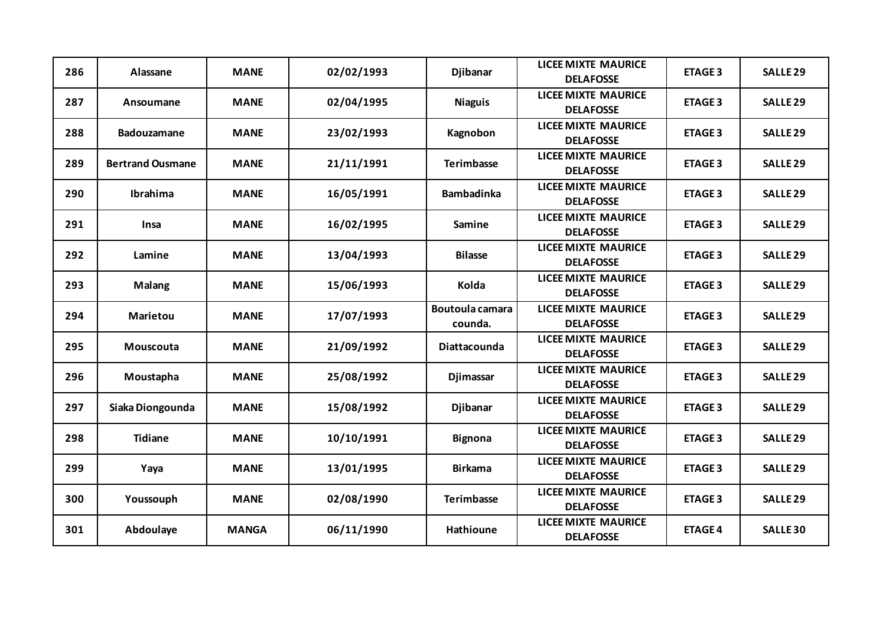| 286 | Alassane                | <b>MANE</b>  | 02/02/1993 | <b>Djibanar</b>                   | <b>LICEE MIXTE MAURICE</b><br><b>DELAFOSSE</b> | <b>ETAGE 3</b> | <b>SALLE 29</b>     |
|-----|-------------------------|--------------|------------|-----------------------------------|------------------------------------------------|----------------|---------------------|
| 287 | Ansoumane               | <b>MANE</b>  | 02/04/1995 | <b>Niaguis</b>                    | <b>LICEE MIXTE MAURICE</b><br><b>DELAFOSSE</b> | <b>ETAGE 3</b> | SALLE <sub>29</sub> |
| 288 | <b>Badouzamane</b>      | <b>MANE</b>  | 23/02/1993 | Kagnobon                          | <b>LICEE MIXTE MAURICE</b><br><b>DELAFOSSE</b> | <b>ETAGE 3</b> | <b>SALLE 29</b>     |
| 289 | <b>Bertrand Ousmane</b> | <b>MANE</b>  | 21/11/1991 | <b>Terimbasse</b>                 | <b>LICEE MIXTE MAURICE</b><br><b>DELAFOSSE</b> | <b>ETAGE 3</b> | <b>SALLE 29</b>     |
| 290 | <b>Ibrahima</b>         | <b>MANE</b>  | 16/05/1991 | <b>Bambadinka</b>                 | <b>LICEE MIXTE MAURICE</b><br><b>DELAFOSSE</b> | <b>ETAGE 3</b> | <b>SALLE 29</b>     |
| 291 | <b>Insa</b>             | <b>MANE</b>  | 16/02/1995 | Samine                            | <b>LICEE MIXTE MAURICE</b><br><b>DELAFOSSE</b> | <b>ETAGE 3</b> | <b>SALLE 29</b>     |
| 292 | Lamine                  | <b>MANE</b>  | 13/04/1993 | <b>Bilasse</b>                    | <b>LICEE MIXTE MAURICE</b><br><b>DELAFOSSE</b> | <b>ETAGE 3</b> | <b>SALLE 29</b>     |
| 293 | <b>Malang</b>           | <b>MANE</b>  | 15/06/1993 | Kolda                             | <b>LICEE MIXTE MAURICE</b><br><b>DELAFOSSE</b> | <b>ETAGE 3</b> | <b>SALLE 29</b>     |
| 294 | <b>Marietou</b>         | <b>MANE</b>  | 17/07/1993 | <b>Boutoula camara</b><br>counda. | <b>LICEE MIXTE MAURICE</b><br><b>DELAFOSSE</b> | <b>ETAGE 3</b> | <b>SALLE 29</b>     |
| 295 | Mouscouta               | <b>MANE</b>  | 21/09/1992 | <b>Diattacounda</b>               | <b>LICEE MIXTE MAURICE</b><br><b>DELAFOSSE</b> | <b>ETAGE 3</b> | <b>SALLE 29</b>     |
| 296 | Moustapha               | <b>MANE</b>  | 25/08/1992 | <b>Djimassar</b>                  | <b>LICEE MIXTE MAURICE</b><br><b>DELAFOSSE</b> | <b>ETAGE 3</b> | <b>SALLE 29</b>     |
| 297 | Siaka Diongounda        | <b>MANE</b>  | 15/08/1992 | <b>Djibanar</b>                   | <b>LICEE MIXTE MAURICE</b><br><b>DELAFOSSE</b> | <b>ETAGE 3</b> | <b>SALLE 29</b>     |
| 298 | <b>Tidiane</b>          | <b>MANE</b>  | 10/10/1991 | <b>Bignona</b>                    | <b>LICEE MIXTE MAURICE</b><br><b>DELAFOSSE</b> | <b>ETAGE 3</b> | <b>SALLE 29</b>     |
| 299 | Yaya                    | <b>MANE</b>  | 13/01/1995 | <b>Birkama</b>                    | <b>LICEE MIXTE MAURICE</b><br><b>DELAFOSSE</b> | <b>ETAGE 3</b> | <b>SALLE 29</b>     |
| 300 | Youssouph               | <b>MANE</b>  | 02/08/1990 | <b>Terimbasse</b>                 | <b>LICEE MIXTE MAURICE</b><br><b>DELAFOSSE</b> | <b>ETAGE 3</b> | <b>SALLE 29</b>     |
| 301 | Abdoulaye               | <b>MANGA</b> | 06/11/1990 | <b>Hathioune</b>                  | <b>LICEE MIXTE MAURICE</b><br><b>DELAFOSSE</b> | <b>ETAGE 4</b> | <b>SALLE 30</b>     |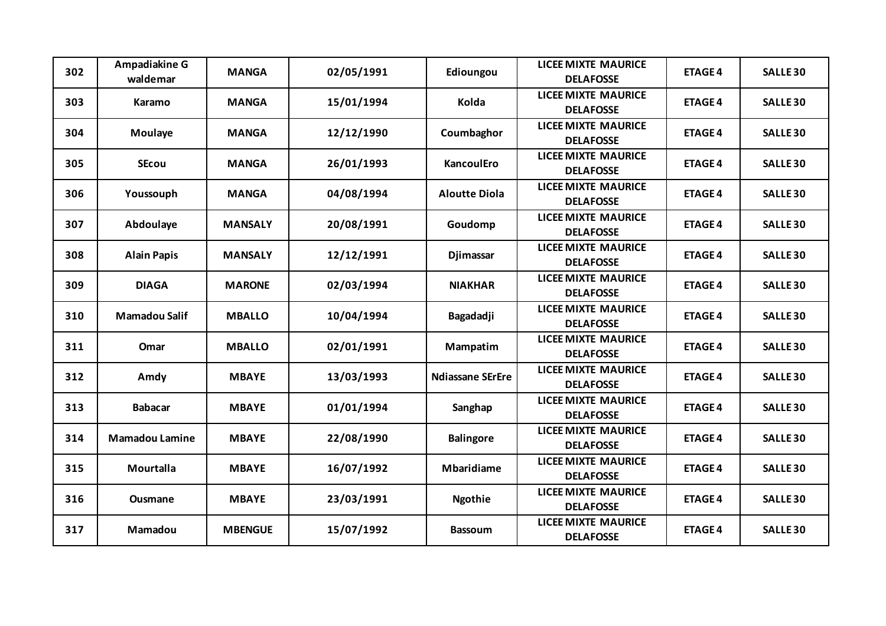| 302 | Ampadiakine G<br>waldemar | <b>MANGA</b>   | 02/05/1991 | Edioungou               | <b>LICEE MIXTE MAURICE</b><br><b>DELAFOSSE</b> | <b>ETAGE 4</b> | <b>SALLE 30</b> |
|-----|---------------------------|----------------|------------|-------------------------|------------------------------------------------|----------------|-----------------|
| 303 | Karamo                    | <b>MANGA</b>   | 15/01/1994 | Kolda                   | <b>LICEE MIXTE MAURICE</b><br><b>DELAFOSSE</b> | <b>ETAGE 4</b> | <b>SALLE 30</b> |
| 304 | Moulaye                   | <b>MANGA</b>   | 12/12/1990 | Coumbaghor              | <b>LICEE MIXTE MAURICE</b><br><b>DELAFOSSE</b> | <b>ETAGE 4</b> | <b>SALLE 30</b> |
| 305 | <b>SEcou</b>              | <b>MANGA</b>   | 26/01/1993 | <b>KancoulEro</b>       | <b>LICEE MIXTE MAURICE</b><br><b>DELAFOSSE</b> | <b>ETAGE 4</b> | <b>SALLE 30</b> |
| 306 | Youssouph                 | <b>MANGA</b>   | 04/08/1994 | <b>Aloutte Diola</b>    | <b>LICEE MIXTE MAURICE</b><br><b>DELAFOSSE</b> | <b>ETAGE 4</b> | <b>SALLE 30</b> |
| 307 | Abdoulaye                 | <b>MANSALY</b> | 20/08/1991 | Goudomp                 | <b>LICEE MIXTE MAURICE</b><br><b>DELAFOSSE</b> | <b>ETAGE 4</b> | <b>SALLE 30</b> |
| 308 | <b>Alain Papis</b>        | <b>MANSALY</b> | 12/12/1991 | Djimassar               | <b>LICEE MIXTE MAURICE</b><br><b>DELAFOSSE</b> | <b>ETAGE 4</b> | <b>SALLE 30</b> |
| 309 | <b>DIAGA</b>              | <b>MARONE</b>  | 02/03/1994 | <b>NIAKHAR</b>          | <b>LICEE MIXTE MAURICE</b><br><b>DELAFOSSE</b> | <b>ETAGE 4</b> | <b>SALLE 30</b> |
| 310 | <b>Mamadou Salif</b>      | <b>MBALLO</b>  | 10/04/1994 | Bagadadji               | <b>LICEE MIXTE MAURICE</b><br><b>DELAFOSSE</b> | <b>ETAGE 4</b> | <b>SALLE 30</b> |
| 311 | Omar                      | <b>MBALLO</b>  | 02/01/1991 | Mampatim                | <b>LICEE MIXTE MAURICE</b><br><b>DELAFOSSE</b> | <b>ETAGE 4</b> | <b>SALLE 30</b> |
| 312 | Amdy                      | <b>MBAYE</b>   | 13/03/1993 | <b>Ndiassane SErEre</b> | <b>LICEE MIXTE MAURICE</b><br><b>DELAFOSSE</b> | <b>ETAGE 4</b> | <b>SALLE 30</b> |
| 313 | <b>Babacar</b>            | <b>MBAYE</b>   | 01/01/1994 | Sanghap                 | <b>LICEE MIXTE MAURICE</b><br><b>DELAFOSSE</b> | <b>ETAGE 4</b> | <b>SALLE 30</b> |
| 314 | <b>Mamadou Lamine</b>     | <b>MBAYE</b>   | 22/08/1990 | <b>Balingore</b>        | <b>LICEE MIXTE MAURICE</b><br><b>DELAFOSSE</b> | <b>ETAGE 4</b> | <b>SALLE 30</b> |
| 315 | Mourtalla                 | <b>MBAYE</b>   | 16/07/1992 | <b>Mbaridiame</b>       | <b>LICEE MIXTE MAURICE</b><br><b>DELAFOSSE</b> | <b>ETAGE 4</b> | <b>SALLE 30</b> |
| 316 | Ousmane                   | <b>MBAYE</b>   | 23/03/1991 | <b>Ngothie</b>          | <b>LICEE MIXTE MAURICE</b><br><b>DELAFOSSE</b> | <b>ETAGE 4</b> | <b>SALLE 30</b> |
| 317 | Mamadou                   | <b>MBENGUE</b> | 15/07/1992 | <b>Bassoum</b>          | <b>LICEE MIXTE MAURICE</b><br><b>DELAFOSSE</b> | <b>ETAGE 4</b> | <b>SALLE 30</b> |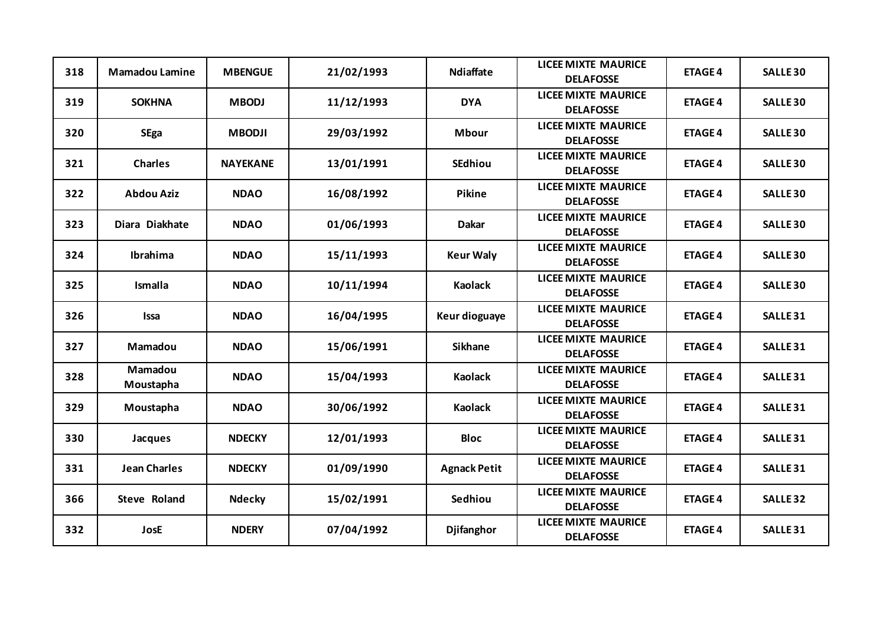| 318 | <b>Mamadou Lamine</b> | <b>MBENGUE</b>  | 21/02/1993 | <b>Ndiaffate</b>    | <b>LICEE MIXTE MAURICE</b><br><b>DELAFOSSE</b> | <b>ETAGE 4</b> | <b>SALLE 30</b> |
|-----|-----------------------|-----------------|------------|---------------------|------------------------------------------------|----------------|-----------------|
| 319 | <b>SOKHNA</b>         | <b>MBODJ</b>    | 11/12/1993 | <b>DYA</b>          | <b>LICEE MIXTE MAURICE</b><br><b>DELAFOSSE</b> | <b>ETAGE 4</b> | <b>SALLE 30</b> |
| 320 | <b>SEga</b>           | <b>MBODJI</b>   | 29/03/1992 | <b>Mbour</b>        | <b>LICEE MIXTE MAURICE</b><br><b>DELAFOSSE</b> | <b>ETAGE 4</b> | <b>SALLE 30</b> |
| 321 | <b>Charles</b>        | <b>NAYEKANE</b> | 13/01/1991 | <b>SEdhiou</b>      | <b>LICEE MIXTE MAURICE</b><br><b>DELAFOSSE</b> | <b>ETAGE 4</b> | <b>SALLE 30</b> |
| 322 | <b>Abdou Aziz</b>     | <b>NDAO</b>     | 16/08/1992 | Pikine              | <b>LICEE MIXTE MAURICE</b><br><b>DELAFOSSE</b> | <b>ETAGE 4</b> | <b>SALLE 30</b> |
| 323 | Diara Diakhate        | <b>NDAO</b>     | 01/06/1993 | <b>Dakar</b>        | <b>LICEE MIXTE MAURICE</b><br><b>DELAFOSSE</b> | <b>ETAGE 4</b> | <b>SALLE 30</b> |
| 324 | Ibrahima              | <b>NDAO</b>     | 15/11/1993 | <b>Keur Waly</b>    | <b>LICEE MIXTE MAURICE</b><br><b>DELAFOSSE</b> | <b>ETAGE 4</b> | <b>SALLE 30</b> |
| 325 | <b>Ismalla</b>        | <b>NDAO</b>     | 10/11/1994 | <b>Kaolack</b>      | <b>LICEE MIXTE MAURICE</b><br><b>DELAFOSSE</b> | <b>ETAGE 4</b> | <b>SALLE 30</b> |
| 326 | <b>Issa</b>           | <b>NDAO</b>     | 16/04/1995 | Keur dioguaye       | <b>LICEE MIXTE MAURICE</b><br><b>DELAFOSSE</b> | <b>ETAGE 4</b> | <b>SALLE 31</b> |
| 327 | Mamadou               | <b>NDAO</b>     | 15/06/1991 | <b>Sikhane</b>      | <b>LICEE MIXTE MAURICE</b><br><b>DELAFOSSE</b> | <b>ETAGE 4</b> | <b>SALLE 31</b> |
| 328 | Mamadou<br>Moustapha  | <b>NDAO</b>     | 15/04/1993 | <b>Kaolack</b>      | <b>LICEE MIXTE MAURICE</b><br><b>DELAFOSSE</b> | <b>ETAGE 4</b> | <b>SALLE 31</b> |
| 329 | Moustapha             | <b>NDAO</b>     | 30/06/1992 | <b>Kaolack</b>      | <b>LICEE MIXTE MAURICE</b><br><b>DELAFOSSE</b> | <b>ETAGE 4</b> | <b>SALLE 31</b> |
| 330 | Jacques               | <b>NDECKY</b>   | 12/01/1993 | <b>Bloc</b>         | <b>LICEE MIXTE MAURICE</b><br><b>DELAFOSSE</b> | <b>ETAGE 4</b> | <b>SALLE 31</b> |
| 331 | <b>Jean Charles</b>   | <b>NDECKY</b>   | 01/09/1990 | <b>Agnack Petit</b> | <b>LICEE MIXTE MAURICE</b><br><b>DELAFOSSE</b> | <b>ETAGE 4</b> | <b>SALLE 31</b> |
| 366 | <b>Steve Roland</b>   | <b>Ndecky</b>   | 15/02/1991 | Sedhiou             | <b>LICEE MIXTE MAURICE</b><br><b>DELAFOSSE</b> | <b>ETAGE 4</b> | <b>SALLE 32</b> |
| 332 | JosE                  | <b>NDERY</b>    | 07/04/1992 | <b>Djifanghor</b>   | <b>LICEE MIXTE MAURICE</b><br><b>DELAFOSSE</b> | <b>ETAGE 4</b> | <b>SALLE 31</b> |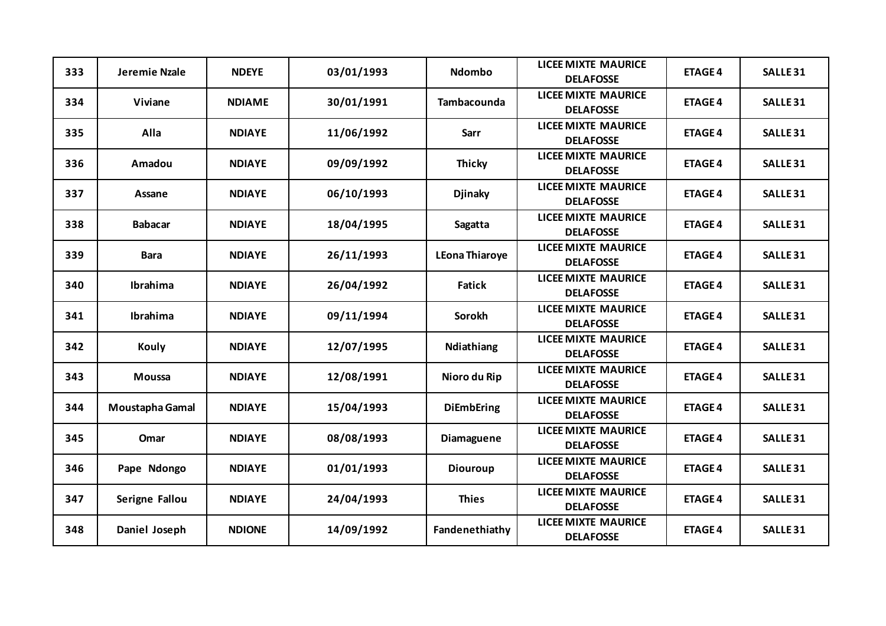| 333 | Jeremie Nzale   | <b>NDEYE</b>  | 03/01/1993 | <b>Ndombo</b>         | <b>LICEE MIXTE MAURICE</b><br><b>DELAFOSSE</b> | <b>ETAGE 4</b> | <b>SALLE 31</b>     |
|-----|-----------------|---------------|------------|-----------------------|------------------------------------------------|----------------|---------------------|
| 334 | <b>Viviane</b>  | <b>NDIAME</b> | 30/01/1991 | <b>Tambacounda</b>    | <b>LICEE MIXTE MAURICE</b><br><b>DELAFOSSE</b> | <b>ETAGE 4</b> | <b>SALLE 31</b>     |
| 335 | Alla            | <b>NDIAYE</b> | 11/06/1992 | <b>Sarr</b>           | <b>LICEE MIXTE MAURICE</b><br><b>DELAFOSSE</b> | <b>ETAGE 4</b> | <b>SALLE 31</b>     |
| 336 | Amadou          | <b>NDIAYE</b> | 09/09/1992 | <b>Thicky</b>         | <b>LICEE MIXTE MAURICE</b><br><b>DELAFOSSE</b> | <b>ETAGE 4</b> | <b>SALLE 31</b>     |
| 337 | Assane          | <b>NDIAYE</b> | 06/10/1993 | <b>Djinaky</b>        | <b>LICEE MIXTE MAURICE</b><br><b>DELAFOSSE</b> | <b>ETAGE 4</b> | <b>SALLE 31</b>     |
| 338 | <b>Babacar</b>  | <b>NDIAYE</b> | 18/04/1995 | Sagatta               | <b>LICEE MIXTE MAURICE</b><br><b>DELAFOSSE</b> | <b>ETAGE 4</b> | <b>SALLE 31</b>     |
| 339 | <b>Bara</b>     | <b>NDIAYE</b> | 26/11/1993 | <b>LEona Thiaroye</b> | <b>LICEE MIXTE MAURICE</b><br><b>DELAFOSSE</b> | <b>ETAGE 4</b> | <b>SALLE 31</b>     |
| 340 | <b>Ibrahima</b> | <b>NDIAYE</b> | 26/04/1992 | Fatick                | <b>LICEE MIXTE MAURICE</b><br><b>DELAFOSSE</b> | <b>ETAGE 4</b> | <b>SALLE 31</b>     |
| 341 | Ibrahima        | <b>NDIAYE</b> | 09/11/1994 | <b>Sorokh</b>         | <b>LICEE MIXTE MAURICE</b><br><b>DELAFOSSE</b> | <b>ETAGE 4</b> | <b>SALLE 31</b>     |
| 342 | Kouly           | <b>NDIAYE</b> | 12/07/1995 | Ndiathiang            | <b>LICEE MIXTE MAURICE</b><br><b>DELAFOSSE</b> | <b>ETAGE 4</b> | <b>SALLE 31</b>     |
| 343 | <b>Moussa</b>   | <b>NDIAYE</b> | 12/08/1991 | Nioro du Rip          | <b>LICEE MIXTE MAURICE</b><br><b>DELAFOSSE</b> | <b>ETAGE 4</b> | <b>SALLE 31</b>     |
| 344 | Moustapha Gamal | <b>NDIAYE</b> | 15/04/1993 | <b>DiEmbEring</b>     | <b>LICEE MIXTE MAURICE</b><br><b>DELAFOSSE</b> | <b>ETAGE 4</b> | <b>SALLE 31</b>     |
| 345 | Omar            | <b>NDIAYE</b> | 08/08/1993 | Diamaguene            | <b>LICEE MIXTE MAURICE</b><br><b>DELAFOSSE</b> | <b>ETAGE 4</b> | <b>SALLE 31</b>     |
| 346 | Pape Ndongo     | <b>NDIAYE</b> | 01/01/1993 | <b>Diouroup</b>       | <b>LICEE MIXTE MAURICE</b><br><b>DELAFOSSE</b> | <b>ETAGE 4</b> | <b>SALLE 31</b>     |
| 347 | Serigne Fallou  | <b>NDIAYE</b> | 24/04/1993 | <b>Thies</b>          | <b>LICEE MIXTE MAURICE</b><br><b>DELAFOSSE</b> | <b>ETAGE 4</b> | <b>SALLE 31</b>     |
| 348 | Daniel Joseph   | <b>NDIONE</b> | 14/09/1992 | Fandenethiathy        | <b>LICEE MIXTE MAURICE</b><br><b>DELAFOSSE</b> | <b>ETAGE 4</b> | SALLE <sub>31</sub> |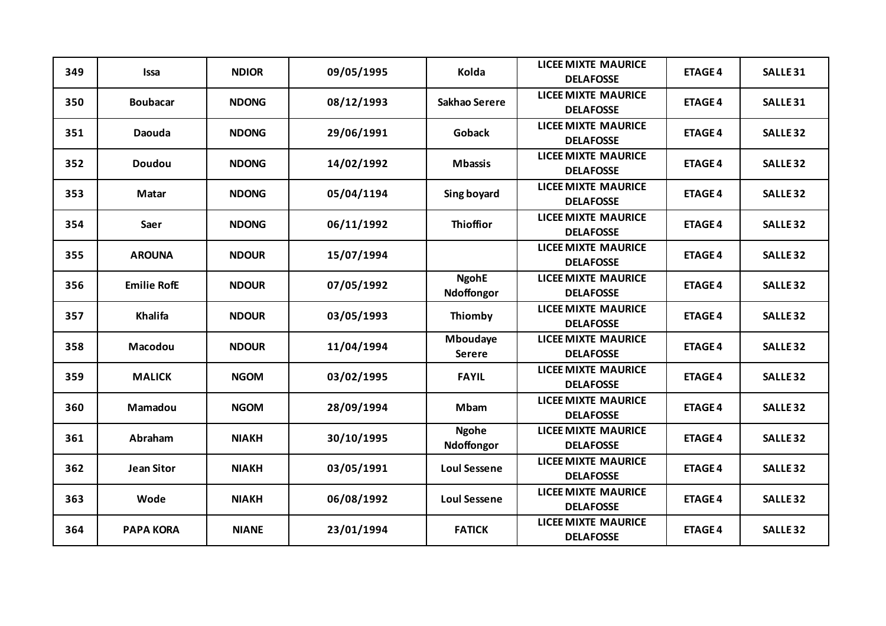| 349 | <b>Issa</b>        | <b>NDIOR</b> | 09/05/1995 | Kolda                            | <b>LICEE MIXTE MAURICE</b><br><b>DELAFOSSE</b> | <b>ETAGE 4</b> | <b>SALLE 31</b> |
|-----|--------------------|--------------|------------|----------------------------------|------------------------------------------------|----------------|-----------------|
| 350 | <b>Boubacar</b>    | <b>NDONG</b> | 08/12/1993 | Sakhao Serere                    | <b>LICEE MIXTE MAURICE</b><br><b>DELAFOSSE</b> | <b>ETAGE 4</b> | <b>SALLE 31</b> |
| 351 | Daouda             | <b>NDONG</b> | 29/06/1991 | <b>Goback</b>                    | <b>LICEE MIXTE MAURICE</b><br><b>DELAFOSSE</b> | <b>ETAGE 4</b> | <b>SALLE 32</b> |
| 352 | <b>Doudou</b>      | <b>NDONG</b> | 14/02/1992 | <b>Mbassis</b>                   | <b>LICEE MIXTE MAURICE</b><br><b>DELAFOSSE</b> | <b>ETAGE 4</b> | <b>SALLE 32</b> |
| 353 | Matar              | <b>NDONG</b> | 05/04/1194 | Sing boyard                      | <b>LICEE MIXTE MAURICE</b><br><b>DELAFOSSE</b> | <b>ETAGE 4</b> | <b>SALLE 32</b> |
| 354 | Saer               | <b>NDONG</b> | 06/11/1992 | <b>Thioffior</b>                 | <b>LICEE MIXTE MAURICE</b><br><b>DELAFOSSE</b> | <b>ETAGE 4</b> | <b>SALLE 32</b> |
| 355 | <b>AROUNA</b>      | <b>NDOUR</b> | 15/07/1994 |                                  | <b>LICEE MIXTE MAURICE</b><br><b>DELAFOSSE</b> | <b>ETAGE 4</b> | <b>SALLE 32</b> |
| 356 | <b>Emilie RofE</b> | <b>NDOUR</b> | 07/05/1992 | <b>NgohE</b><br>Ndoffongor       | <b>LICEE MIXTE MAURICE</b><br><b>DELAFOSSE</b> | <b>ETAGE 4</b> | <b>SALLE 32</b> |
| 357 | Khalifa            | <b>NDOUR</b> | 03/05/1993 | Thiomby                          | <b>LICEE MIXTE MAURICE</b><br><b>DELAFOSSE</b> | <b>ETAGE 4</b> | <b>SALLE 32</b> |
| 358 | Macodou            | <b>NDOUR</b> | 11/04/1994 | <b>Mboudaye</b><br><b>Serere</b> | <b>LICEE MIXTE MAURICE</b><br><b>DELAFOSSE</b> | <b>ETAGE 4</b> | <b>SALLE 32</b> |
| 359 | <b>MALICK</b>      | <b>NGOM</b>  | 03/02/1995 | <b>FAYIL</b>                     | <b>LICEE MIXTE MAURICE</b><br><b>DELAFOSSE</b> | <b>ETAGE 4</b> | <b>SALLE 32</b> |
| 360 | Mamadou            | <b>NGOM</b>  | 28/09/1994 | <b>Mbam</b>                      | <b>LICEE MIXTE MAURICE</b><br><b>DELAFOSSE</b> | <b>ETAGE 4</b> | <b>SALLE 32</b> |
| 361 | Abraham            | <b>NIAKH</b> | 30/10/1995 | <b>Ngohe</b><br>Ndoffongor       | <b>LICEE MIXTE MAURICE</b><br><b>DELAFOSSE</b> | <b>ETAGE 4</b> | <b>SALLE 32</b> |
| 362 | <b>Jean Sitor</b>  | <b>NIAKH</b> | 03/05/1991 | <b>Loul Sessene</b>              | <b>LICEE MIXTE MAURICE</b><br><b>DELAFOSSE</b> | <b>ETAGE 4</b> | <b>SALLE 32</b> |
| 363 | Wode               | <b>NIAKH</b> | 06/08/1992 | <b>Loul Sessene</b>              | <b>LICEE MIXTE MAURICE</b><br><b>DELAFOSSE</b> | <b>ETAGE 4</b> | <b>SALLE 32</b> |
| 364 | <b>PAPA KORA</b>   | <b>NIANE</b> | 23/01/1994 | <b>FATICK</b>                    | <b>LICEE MIXTE MAURICE</b><br><b>DELAFOSSE</b> | <b>ETAGE 4</b> | <b>SALLE 32</b> |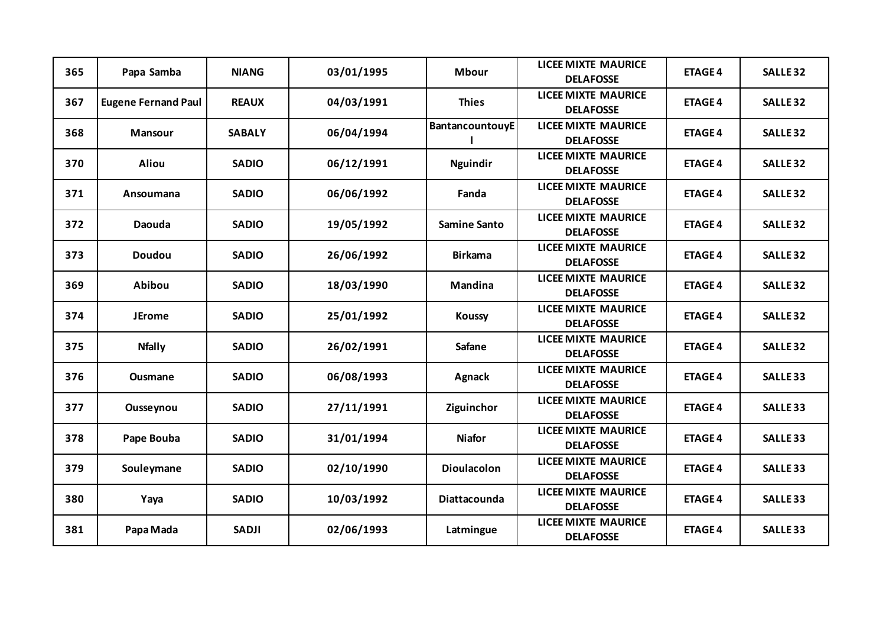| 365 | Papa Samba                 | <b>NIANG</b>  | 03/01/1995 | <b>Mbour</b>           | <b>LICEE MIXTE MAURICE</b><br><b>DELAFOSSE</b> | <b>ETAGE 4</b> | <b>SALLE 32</b> |
|-----|----------------------------|---------------|------------|------------------------|------------------------------------------------|----------------|-----------------|
| 367 | <b>Eugene Fernand Paul</b> | <b>REAUX</b>  | 04/03/1991 | <b>Thies</b>           | <b>LICEE MIXTE MAURICE</b><br><b>DELAFOSSE</b> | <b>ETAGE 4</b> | <b>SALLE 32</b> |
| 368 | <b>Mansour</b>             | <b>SABALY</b> | 06/04/1994 | <b>BantancountouyE</b> | <b>LICEE MIXTE MAURICE</b><br><b>DELAFOSSE</b> | <b>ETAGE 4</b> | <b>SALLE 32</b> |
| 370 | <b>Aliou</b>               | <b>SADIO</b>  | 06/12/1991 | Nguindir               | <b>LICEE MIXTE MAURICE</b><br><b>DELAFOSSE</b> | <b>ETAGE 4</b> | <b>SALLE 32</b> |
| 371 | Ansoumana                  | <b>SADIO</b>  | 06/06/1992 | Fanda                  | <b>LICEE MIXTE MAURICE</b><br><b>DELAFOSSE</b> | <b>ETAGE 4</b> | <b>SALLE 32</b> |
| 372 | Daouda                     | <b>SADIO</b>  | 19/05/1992 | <b>Samine Santo</b>    | <b>LICEE MIXTE MAURICE</b><br><b>DELAFOSSE</b> | <b>ETAGE 4</b> | <b>SALLE 32</b> |
| 373 | <b>Doudou</b>              | <b>SADIO</b>  | 26/06/1992 | <b>Birkama</b>         | <b>LICEE MIXTE MAURICE</b><br><b>DELAFOSSE</b> | <b>ETAGE 4</b> | <b>SALLE 32</b> |
| 369 | Abibou                     | <b>SADIO</b>  | 18/03/1990 | <b>Mandina</b>         | <b>LICEE MIXTE MAURICE</b><br><b>DELAFOSSE</b> | <b>ETAGE 4</b> | <b>SALLE 32</b> |
| 374 | <b>JErome</b>              | <b>SADIO</b>  | 25/01/1992 | <b>Koussy</b>          | <b>LICEE MIXTE MAURICE</b><br><b>DELAFOSSE</b> | <b>ETAGE 4</b> | <b>SALLE 32</b> |
| 375 | <b>Nfally</b>              | <b>SADIO</b>  | 26/02/1991 | <b>Safane</b>          | <b>LICEE MIXTE MAURICE</b><br><b>DELAFOSSE</b> | <b>ETAGE 4</b> | <b>SALLE 32</b> |
| 376 | <b>Ousmane</b>             | <b>SADIO</b>  | 06/08/1993 | Agnack                 | <b>LICEE MIXTE MAURICE</b><br><b>DELAFOSSE</b> | <b>ETAGE 4</b> | <b>SALLE 33</b> |
| 377 | Ousseynou                  | <b>SADIO</b>  | 27/11/1991 | Ziguinchor             | <b>LICEE MIXTE MAURICE</b><br><b>DELAFOSSE</b> | <b>ETAGE 4</b> | <b>SALLE 33</b> |
| 378 | Pape Bouba                 | <b>SADIO</b>  | 31/01/1994 | <b>Niafor</b>          | <b>LICEE MIXTE MAURICE</b><br><b>DELAFOSSE</b> | <b>ETAGE 4</b> | <b>SALLE 33</b> |
| 379 | Souleymane                 | <b>SADIO</b>  | 02/10/1990 | <b>Dioulacolon</b>     | <b>LICEE MIXTE MAURICE</b><br><b>DELAFOSSE</b> | <b>ETAGE 4</b> | <b>SALLE 33</b> |
| 380 | Yaya                       | <b>SADIO</b>  | 10/03/1992 | Diattacounda           | <b>LICEE MIXTE MAURICE</b><br><b>DELAFOSSE</b> | <b>ETAGE 4</b> | <b>SALLE 33</b> |
| 381 | Papa Mada                  | <b>SADJI</b>  | 02/06/1993 | Latmingue              | <b>LICEE MIXTE MAURICE</b><br><b>DELAFOSSE</b> | <b>ETAGE 4</b> | <b>SALLE 33</b> |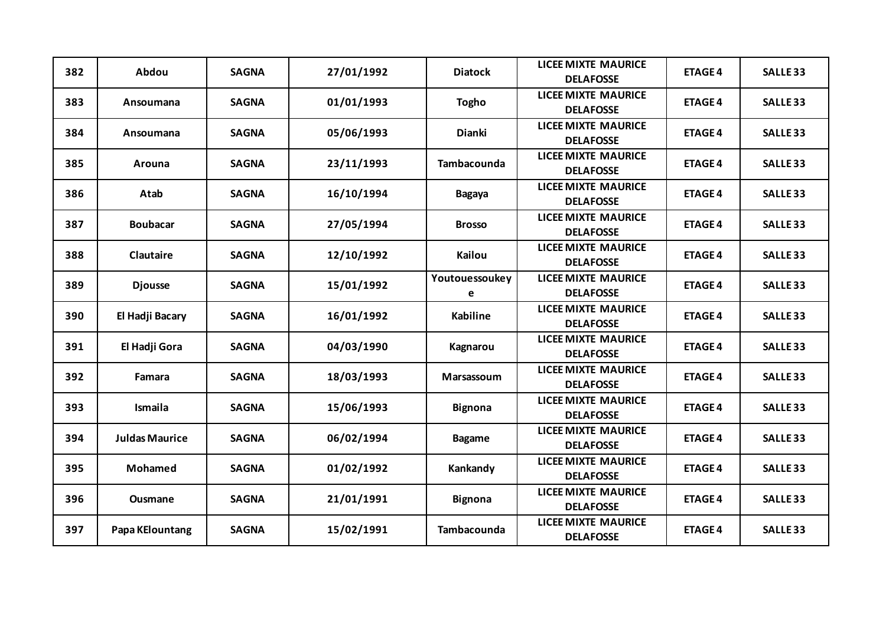| 382 | Abdou                 | <b>SAGNA</b> | 27/01/1992 | <b>Diatock</b>      | <b>LICEE MIXTE MAURICE</b><br><b>DELAFOSSE</b> | <b>ETAGE 4</b> | <b>SALLE 33</b> |
|-----|-----------------------|--------------|------------|---------------------|------------------------------------------------|----------------|-----------------|
| 383 | Ansoumana             | <b>SAGNA</b> | 01/01/1993 | <b>Togho</b>        | <b>LICEE MIXTE MAURICE</b><br><b>DELAFOSSE</b> | <b>ETAGE 4</b> | <b>SALLE 33</b> |
| 384 | Ansoumana             | <b>SAGNA</b> | 05/06/1993 | Dianki              | <b>LICEE MIXTE MAURICE</b><br><b>DELAFOSSE</b> | <b>ETAGE 4</b> | <b>SALLE 33</b> |
| 385 | Arouna                | <b>SAGNA</b> | 23/11/1993 | Tambacounda         | <b>LICEE MIXTE MAURICE</b><br><b>DELAFOSSE</b> | <b>ETAGE 4</b> | <b>SALLE 33</b> |
| 386 | Atab                  | <b>SAGNA</b> | 16/10/1994 | <b>Bagaya</b>       | <b>LICEE MIXTE MAURICE</b><br><b>DELAFOSSE</b> | <b>ETAGE 4</b> | <b>SALLE 33</b> |
| 387 | <b>Boubacar</b>       | <b>SAGNA</b> | 27/05/1994 | <b>Brosso</b>       | <b>LICEE MIXTE MAURICE</b><br><b>DELAFOSSE</b> | <b>ETAGE 4</b> | <b>SALLE 33</b> |
| 388 | Clautaire             | <b>SAGNA</b> | 12/10/1992 | <b>Kailou</b>       | <b>LICEE MIXTE MAURICE</b><br><b>DELAFOSSE</b> | <b>ETAGE 4</b> | <b>SALLE 33</b> |
| 389 | <b>Djousse</b>        | <b>SAGNA</b> | 15/01/1992 | Youtouessoukey<br>e | <b>LICEE MIXTE MAURICE</b><br><b>DELAFOSSE</b> | <b>ETAGE 4</b> | <b>SALLE 33</b> |
| 390 | El Hadji Bacary       | <b>SAGNA</b> | 16/01/1992 | <b>Kabiline</b>     | <b>LICEE MIXTE MAURICE</b><br><b>DELAFOSSE</b> | <b>ETAGE 4</b> | <b>SALLE 33</b> |
| 391 | El Hadji Gora         | <b>SAGNA</b> | 04/03/1990 | Kagnarou            | <b>LICEE MIXTE MAURICE</b><br><b>DELAFOSSE</b> | <b>ETAGE 4</b> | <b>SALLE 33</b> |
| 392 | Famara                | <b>SAGNA</b> | 18/03/1993 | Marsassoum          | <b>LICEE MIXTE MAURICE</b><br><b>DELAFOSSE</b> | <b>ETAGE 4</b> | <b>SALLE 33</b> |
| 393 | Ismaila               | <b>SAGNA</b> | 15/06/1993 | <b>Bignona</b>      | <b>LICEE MIXTE MAURICE</b><br><b>DELAFOSSE</b> | <b>ETAGE 4</b> | <b>SALLE 33</b> |
| 394 | <b>Juldas Maurice</b> | <b>SAGNA</b> | 06/02/1994 | <b>Bagame</b>       | <b>LICEE MIXTE MAURICE</b><br><b>DELAFOSSE</b> | <b>ETAGE 4</b> | <b>SALLE 33</b> |
| 395 | Mohamed               | <b>SAGNA</b> | 01/02/1992 | Kankandy            | <b>LICEE MIXTE MAURICE</b><br><b>DELAFOSSE</b> | <b>ETAGE 4</b> | <b>SALLE 33</b> |
| 396 | <b>Ousmane</b>        | <b>SAGNA</b> | 21/01/1991 | <b>Bignona</b>      | <b>LICEE MIXTE MAURICE</b><br><b>DELAFOSSE</b> | <b>ETAGE 4</b> | <b>SALLE 33</b> |
| 397 | Papa KElountang       | <b>SAGNA</b> | 15/02/1991 | <b>Tambacounda</b>  | <b>LICEE MIXTE MAURICE</b><br><b>DELAFOSSE</b> | <b>ETAGE 4</b> | <b>SALLE 33</b> |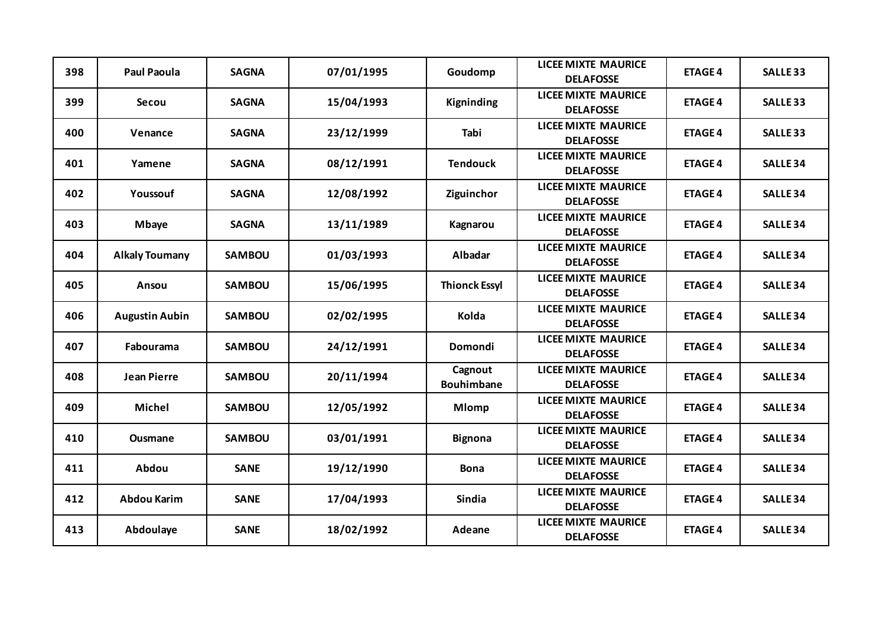| 398 | <b>Paul Paoula</b>    | <b>SAGNA</b>  | 07/01/1995 | Goudomp                      | <b>LICEE MIXTE MAURICE</b><br><b>DELAFOSSE</b> | <b>ETAGE 4</b> | <b>SALLE 33</b> |
|-----|-----------------------|---------------|------------|------------------------------|------------------------------------------------|----------------|-----------------|
| 399 | Secou                 | <b>SAGNA</b>  | 15/04/1993 | Kigninding                   | <b>LICEE MIXTE MAURICE</b><br><b>DELAFOSSE</b> | <b>ETAGE 4</b> | <b>SALLE 33</b> |
| 400 | Venance               | <b>SAGNA</b>  | 23/12/1999 | Tabi                         | <b>LICEE MIXTE MAURICE</b><br><b>DELAFOSSE</b> | <b>ETAGE 4</b> | <b>SALLE 33</b> |
| 401 | Yamene                | <b>SAGNA</b>  | 08/12/1991 | <b>Tendouck</b>              | <b>LICEE MIXTE MAURICE</b><br><b>DELAFOSSE</b> | <b>ETAGE 4</b> | <b>SALLE 34</b> |
| 402 | Youssouf              | <b>SAGNA</b>  | 12/08/1992 | Ziguinchor                   | <b>LICEE MIXTE MAURICE</b><br><b>DELAFOSSE</b> | <b>ETAGE 4</b> | <b>SALLE 34</b> |
| 403 | <b>Mbaye</b>          | <b>SAGNA</b>  | 13/11/1989 | Kagnarou                     | <b>LICEE MIXTE MAURICE</b><br><b>DELAFOSSE</b> | <b>ETAGE 4</b> | <b>SALLE 34</b> |
| 404 | <b>Alkaly Toumany</b> | <b>SAMBOU</b> | 01/03/1993 | <b>Albadar</b>               | <b>LICEE MIXTE MAURICE</b><br><b>DELAFOSSE</b> | <b>ETAGE 4</b> | <b>SALLE 34</b> |
| 405 | Ansou                 | <b>SAMBOU</b> | 15/06/1995 | <b>Thionck Essyl</b>         | <b>LICEE MIXTE MAURICE</b><br><b>DELAFOSSE</b> | <b>ETAGE 4</b> | <b>SALLE 34</b> |
| 406 | <b>Augustin Aubin</b> | <b>SAMBOU</b> | 02/02/1995 | Kolda                        | <b>LICEE MIXTE MAURICE</b><br><b>DELAFOSSE</b> | <b>ETAGE 4</b> | <b>SALLE 34</b> |
| 407 | Fabourama             | <b>SAMBOU</b> | 24/12/1991 | <b>Domondi</b>               | <b>LICEE MIXTE MAURICE</b><br><b>DELAFOSSE</b> | <b>ETAGE 4</b> | <b>SALLE 34</b> |
| 408 | <b>Jean Pierre</b>    | <b>SAMBOU</b> | 20/11/1994 | Cagnout<br><b>Bouhimbane</b> | <b>LICEE MIXTE MAURICE</b><br><b>DELAFOSSE</b> | <b>ETAGE 4</b> | <b>SALLE 34</b> |
| 409 | Michel                | <b>SAMBOU</b> | 12/05/1992 | <b>Mlomp</b>                 | <b>LICEE MIXTE MAURICE</b><br><b>DELAFOSSE</b> | <b>ETAGE 4</b> | <b>SALLE 34</b> |
| 410 | <b>Ousmane</b>        | <b>SAMBOU</b> | 03/01/1991 | <b>Bignona</b>               | <b>LICEE MIXTE MAURICE</b><br><b>DELAFOSSE</b> | <b>ETAGE 4</b> | <b>SALLE 34</b> |
| 411 | Abdou                 | <b>SANE</b>   | 19/12/1990 | <b>Bona</b>                  | <b>LICEE MIXTE MAURICE</b><br><b>DELAFOSSE</b> | <b>ETAGE 4</b> | <b>SALLE 34</b> |
| 412 | <b>Abdou Karim</b>    | <b>SANE</b>   | 17/04/1993 | <b>Sindia</b>                | <b>LICEE MIXTE MAURICE</b><br><b>DELAFOSSE</b> | <b>ETAGE 4</b> | <b>SALLE 34</b> |
| 413 | Abdoulaye             | <b>SANE</b>   | 18/02/1992 | Adeane                       | <b>LICEE MIXTE MAURICE</b><br><b>DELAFOSSE</b> | <b>ETAGE 4</b> | <b>SALLE 34</b> |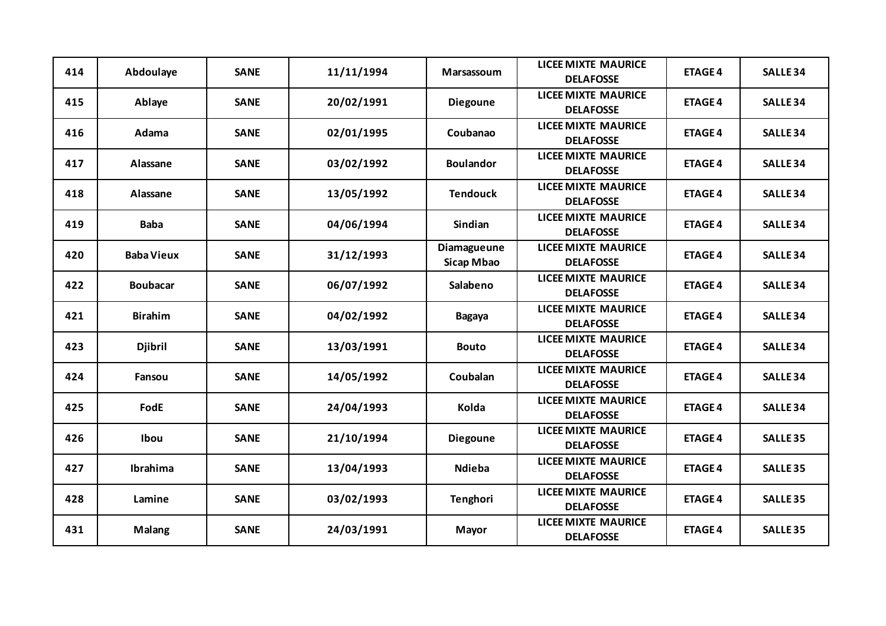| 414 | Abdoulaye         | <b>SANE</b> | 11/11/1994 | Marsassoum                       | <b>LICEE MIXTE MAURICE</b><br><b>DELAFOSSE</b> | <b>ETAGE 4</b> | <b>SALLE 34</b> |
|-----|-------------------|-------------|------------|----------------------------------|------------------------------------------------|----------------|-----------------|
| 415 | Ablaye            | <b>SANE</b> | 20/02/1991 | <b>Diegoune</b>                  | <b>LICEE MIXTE MAURICE</b><br><b>DELAFOSSE</b> | <b>ETAGE 4</b> | <b>SALLE 34</b> |
| 416 | Adama             | <b>SANE</b> | 02/01/1995 | Coubanao                         | <b>LICEE MIXTE MAURICE</b><br><b>DELAFOSSE</b> | <b>ETAGE 4</b> | <b>SALLE 34</b> |
| 417 | Alassane          | <b>SANE</b> | 03/02/1992 | <b>Boulandor</b>                 | <b>LICEE MIXTE MAURICE</b><br><b>DELAFOSSE</b> | <b>ETAGE 4</b> | <b>SALLE 34</b> |
| 418 | Alassane          | <b>SANE</b> | 13/05/1992 | <b>Tendouck</b>                  | <b>LICEE MIXTE MAURICE</b><br><b>DELAFOSSE</b> | <b>ETAGE 4</b> | <b>SALLE 34</b> |
| 419 | <b>Baba</b>       | <b>SANE</b> | 04/06/1994 | <b>Sindian</b>                   | <b>LICEE MIXTE MAURICE</b><br><b>DELAFOSSE</b> | <b>ETAGE 4</b> | <b>SALLE 34</b> |
| 420 | <b>Baba Vieux</b> | <b>SANE</b> | 31/12/1993 | Diamagueune<br><b>Sicap Mbao</b> | <b>LICEE MIXTE MAURICE</b><br><b>DELAFOSSE</b> | <b>ETAGE 4</b> | <b>SALLE 34</b> |
| 422 | <b>Boubacar</b>   | <b>SANE</b> | 06/07/1992 | Salabeno                         | <b>LICEE MIXTE MAURICE</b><br><b>DELAFOSSE</b> | <b>ETAGE 4</b> | <b>SALLE 34</b> |
| 421 | <b>Birahim</b>    | <b>SANE</b> | 04/02/1992 | <b>Bagaya</b>                    | <b>LICEE MIXTE MAURICE</b><br><b>DELAFOSSE</b> | <b>ETAGE 4</b> | <b>SALLE 34</b> |
| 423 | <b>Djibril</b>    | <b>SANE</b> | 13/03/1991 | <b>Bouto</b>                     | <b>LICEE MIXTE MAURICE</b><br><b>DELAFOSSE</b> | <b>ETAGE 4</b> | <b>SALLE 34</b> |
| 424 | Fansou            | <b>SANE</b> | 14/05/1992 | Coubalan                         | <b>LICEE MIXTE MAURICE</b><br><b>DELAFOSSE</b> | <b>ETAGE 4</b> | <b>SALLE 34</b> |
| 425 | FodE              | <b>SANE</b> | 24/04/1993 | Kolda                            | <b>LICEE MIXTE MAURICE</b><br><b>DELAFOSSE</b> | <b>ETAGE 4</b> | <b>SALLE 34</b> |
| 426 | Ibou              | <b>SANE</b> | 21/10/1994 | <b>Diegoune</b>                  | <b>LICEE MIXTE MAURICE</b><br><b>DELAFOSSE</b> | <b>ETAGE 4</b> | <b>SALLE 35</b> |
| 427 | Ibrahima          | <b>SANE</b> | 13/04/1993 | Ndieba                           | <b>LICEE MIXTE MAURICE</b><br><b>DELAFOSSE</b> | <b>ETAGE 4</b> | <b>SALLE 35</b> |
| 428 | Lamine            | <b>SANE</b> | 03/02/1993 | <b>Tenghori</b>                  | <b>LICEE MIXTE MAURICE</b><br><b>DELAFOSSE</b> | <b>ETAGE 4</b> | <b>SALLE 35</b> |
| 431 | <b>Malang</b>     | <b>SANE</b> | 24/03/1991 | Mayor                            | <b>LICEE MIXTE MAURICE</b><br><b>DELAFOSSE</b> | <b>ETAGE 4</b> | <b>SALLE 35</b> |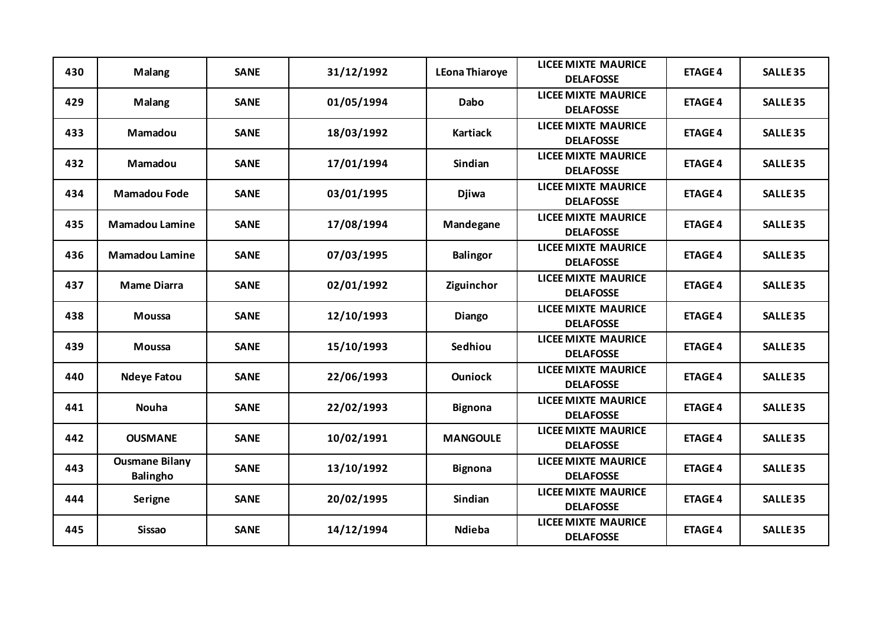| 430 | <b>Malang</b>                            | <b>SANE</b> | 31/12/1992 | <b>LEona Thiaroye</b> | <b>LICEE MIXTE MAURICE</b><br><b>DELAFOSSE</b> | <b>ETAGE 4</b> | <b>SALLE 35</b> |
|-----|------------------------------------------|-------------|------------|-----------------------|------------------------------------------------|----------------|-----------------|
| 429 | <b>Malang</b>                            | <b>SANE</b> | 01/05/1994 | <b>Dabo</b>           | <b>LICEE MIXTE MAURICE</b><br><b>DELAFOSSE</b> | <b>ETAGE 4</b> | <b>SALLE 35</b> |
| 433 | <b>Mamadou</b>                           | <b>SANE</b> | 18/03/1992 | <b>Kartiack</b>       | <b>LICEE MIXTE MAURICE</b><br><b>DELAFOSSE</b> | <b>ETAGE 4</b> | <b>SALLE 35</b> |
| 432 | Mamadou                                  | <b>SANE</b> | 17/01/1994 | Sindian               | <b>LICEE MIXTE MAURICE</b><br><b>DELAFOSSE</b> | <b>ETAGE 4</b> | <b>SALLE 35</b> |
| 434 | <b>Mamadou Fode</b>                      | <b>SANE</b> | 03/01/1995 | <b>Djiwa</b>          | <b>LICEE MIXTE MAURICE</b><br><b>DELAFOSSE</b> | <b>ETAGE 4</b> | <b>SALLE 35</b> |
| 435 | <b>Mamadou Lamine</b>                    | <b>SANE</b> | 17/08/1994 | Mandegane             | <b>LICEE MIXTE MAURICE</b><br><b>DELAFOSSE</b> | <b>ETAGE 4</b> | <b>SALLE 35</b> |
| 436 | <b>Mamadou Lamine</b>                    | <b>SANE</b> | 07/03/1995 | <b>Balingor</b>       | <b>LICEE MIXTE MAURICE</b><br><b>DELAFOSSE</b> | <b>ETAGE 4</b> | <b>SALLE 35</b> |
| 437 | <b>Mame Diarra</b>                       | <b>SANE</b> | 02/01/1992 | Ziguinchor            | <b>LICEE MIXTE MAURICE</b><br><b>DELAFOSSE</b> | <b>ETAGE 4</b> | <b>SALLE 35</b> |
| 438 | <b>Moussa</b>                            | <b>SANE</b> | 12/10/1993 | Diango                | <b>LICEE MIXTE MAURICE</b><br><b>DELAFOSSE</b> | <b>ETAGE 4</b> | <b>SALLE 35</b> |
| 439 | <b>Moussa</b>                            | <b>SANE</b> | 15/10/1993 | Sedhiou               | <b>LICEE MIXTE MAURICE</b><br><b>DELAFOSSE</b> | <b>ETAGE 4</b> | <b>SALLE 35</b> |
| 440 | <b>Ndeye Fatou</b>                       | <b>SANE</b> | 22/06/1993 | <b>Ouniock</b>        | <b>LICEE MIXTE MAURICE</b><br><b>DELAFOSSE</b> | <b>ETAGE 4</b> | <b>SALLE 35</b> |
| 441 | <b>Nouha</b>                             | <b>SANE</b> | 22/02/1993 | <b>Bignona</b>        | <b>LICEE MIXTE MAURICE</b><br><b>DELAFOSSE</b> | <b>ETAGE 4</b> | <b>SALLE 35</b> |
| 442 | <b>OUSMANE</b>                           | <b>SANE</b> | 10/02/1991 | <b>MANGOULE</b>       | <b>LICEE MIXTE MAURICE</b><br><b>DELAFOSSE</b> | <b>ETAGE 4</b> | <b>SALLE 35</b> |
| 443 | <b>Ousmane Bilany</b><br><b>Balingho</b> | <b>SANE</b> | 13/10/1992 | <b>Bignona</b>        | <b>LICEE MIXTE MAURICE</b><br><b>DELAFOSSE</b> | <b>ETAGE 4</b> | <b>SALLE 35</b> |
| 444 | <b>Serigne</b>                           | <b>SANE</b> | 20/02/1995 | Sindian               | <b>LICEE MIXTE MAURICE</b><br><b>DELAFOSSE</b> | <b>ETAGE 4</b> | <b>SALLE 35</b> |
| 445 | <b>Sissao</b>                            | <b>SANE</b> | 14/12/1994 | Ndieba                | <b>LICEE MIXTE MAURICE</b><br><b>DELAFOSSE</b> | <b>ETAGE 4</b> | <b>SALLE 35</b> |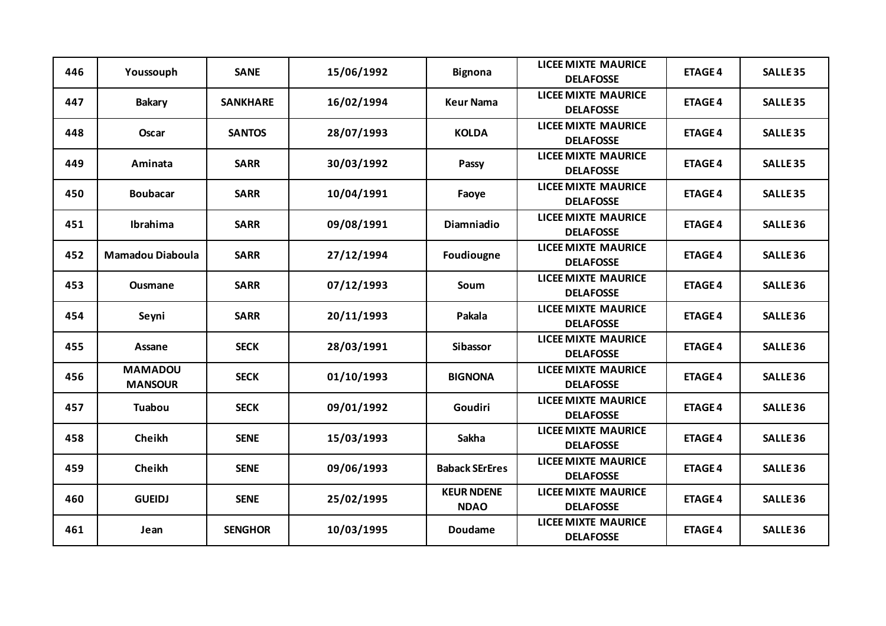| 446 | Youssouph                        | <b>SANE</b>     | 15/06/1992 | <b>Bignona</b>                   | <b>LICEE MIXTE MAURICE</b><br><b>DELAFOSSE</b> | <b>ETAGE 4</b> | <b>SALLE 35</b> |
|-----|----------------------------------|-----------------|------------|----------------------------------|------------------------------------------------|----------------|-----------------|
| 447 | <b>Bakary</b>                    | <b>SANKHARE</b> | 16/02/1994 | <b>Keur Nama</b>                 | <b>LICEE MIXTE MAURICE</b><br><b>DELAFOSSE</b> | <b>ETAGE 4</b> | <b>SALLE 35</b> |
| 448 | <b>Oscar</b>                     | <b>SANTOS</b>   | 28/07/1993 | <b>KOLDA</b>                     | <b>LICEE MIXTE MAURICE</b><br><b>DELAFOSSE</b> | <b>ETAGE 4</b> | <b>SALLE 35</b> |
| 449 | Aminata                          | <b>SARR</b>     | 30/03/1992 | Passy                            | <b>LICEE MIXTE MAURICE</b><br><b>DELAFOSSE</b> | <b>ETAGE 4</b> | <b>SALLE 35</b> |
| 450 | <b>Boubacar</b>                  | <b>SARR</b>     | 10/04/1991 | Faoye                            | <b>LICEE MIXTE MAURICE</b><br><b>DELAFOSSE</b> | <b>ETAGE 4</b> | <b>SALLE 35</b> |
| 451 | Ibrahima                         | <b>SARR</b>     | 09/08/1991 | Diamniadio                       | <b>LICEE MIXTE MAURICE</b><br><b>DELAFOSSE</b> | <b>ETAGE 4</b> | <b>SALLE 36</b> |
| 452 | <b>Mamadou Diaboula</b>          | <b>SARR</b>     | 27/12/1994 | Foudiougne                       | <b>LICEE MIXTE MAURICE</b><br><b>DELAFOSSE</b> | <b>ETAGE 4</b> | <b>SALLE 36</b> |
| 453 | <b>Ousmane</b>                   | <b>SARR</b>     | 07/12/1993 | Soum                             | <b>LICEE MIXTE MAURICE</b><br><b>DELAFOSSE</b> | <b>ETAGE 4</b> | <b>SALLE 36</b> |
| 454 | Seyni                            | <b>SARR</b>     | 20/11/1993 | Pakala                           | <b>LICEE MIXTE MAURICE</b><br><b>DELAFOSSE</b> | <b>ETAGE 4</b> | <b>SALLE 36</b> |
| 455 | Assane                           | <b>SECK</b>     | 28/03/1991 | <b>Sibassor</b>                  | <b>LICEE MIXTE MAURICE</b><br><b>DELAFOSSE</b> | <b>ETAGE 4</b> | <b>SALLE 36</b> |
| 456 | <b>MAMADOU</b><br><b>MANSOUR</b> | <b>SECK</b>     | 01/10/1993 | <b>BIGNONA</b>                   | <b>LICEE MIXTE MAURICE</b><br><b>DELAFOSSE</b> | <b>ETAGE 4</b> | <b>SALLE 36</b> |
| 457 | <b>Tuabou</b>                    | <b>SECK</b>     | 09/01/1992 | Goudiri                          | <b>LICEE MIXTE MAURICE</b><br><b>DELAFOSSE</b> | <b>ETAGE 4</b> | <b>SALLE 36</b> |
| 458 | Cheikh                           | <b>SENE</b>     | 15/03/1993 | Sakha                            | <b>LICEE MIXTE MAURICE</b><br><b>DELAFOSSE</b> | <b>ETAGE 4</b> | <b>SALLE 36</b> |
| 459 | Cheikh                           | <b>SENE</b>     | 09/06/1993 | <b>Baback SErEres</b>            | <b>LICEE MIXTE MAURICE</b><br><b>DELAFOSSE</b> | <b>ETAGE 4</b> | <b>SALLE 36</b> |
| 460 | <b>GUEIDJ</b>                    | <b>SENE</b>     | 25/02/1995 | <b>KEUR NDENE</b><br><b>NDAO</b> | <b>LICEE MIXTE MAURICE</b><br><b>DELAFOSSE</b> | <b>ETAGE 4</b> | <b>SALLE 36</b> |
| 461 | Jean                             | <b>SENGHOR</b>  | 10/03/1995 | <b>Doudame</b>                   | <b>LICEE MIXTE MAURICE</b><br><b>DELAFOSSE</b> | <b>ETAGE 4</b> | <b>SALLE 36</b> |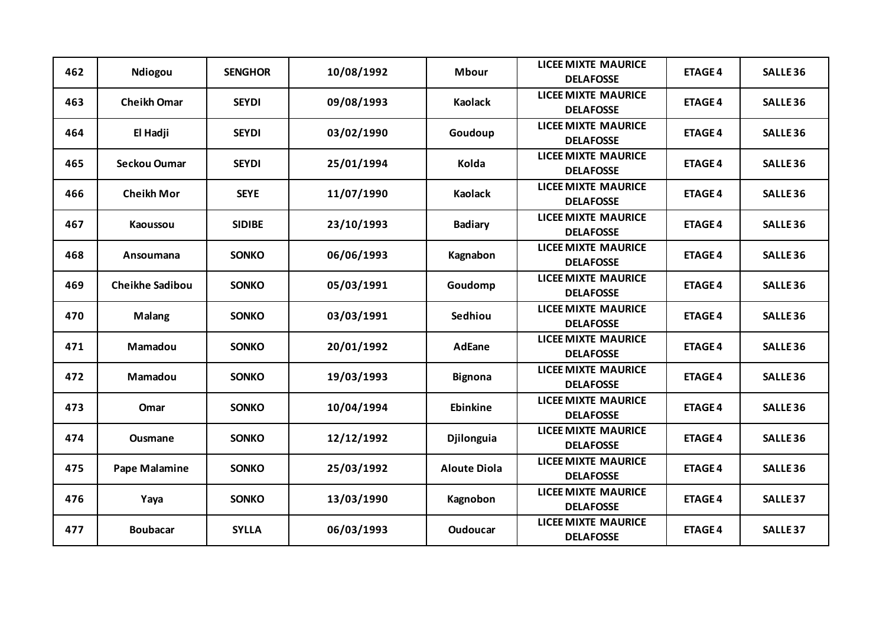| 462 | Ndiogou                | <b>SENGHOR</b> | 10/08/1992 | <b>Mbour</b>        | <b>LICEE MIXTE MAURICE</b><br><b>DELAFOSSE</b> | <b>ETAGE 4</b> | <b>SALLE 36</b> |
|-----|------------------------|----------------|------------|---------------------|------------------------------------------------|----------------|-----------------|
| 463 | <b>Cheikh Omar</b>     | <b>SEYDI</b>   | 09/08/1993 | <b>Kaolack</b>      | <b>LICEE MIXTE MAURICE</b><br><b>DELAFOSSE</b> | <b>ETAGE 4</b> | <b>SALLE 36</b> |
| 464 | El Hadji               | <b>SEYDI</b>   | 03/02/1990 | Goudoup             | <b>LICEE MIXTE MAURICE</b><br><b>DELAFOSSE</b> | <b>ETAGE 4</b> | <b>SALLE 36</b> |
| 465 | Seckou Oumar           | <b>SEYDI</b>   | 25/01/1994 | Kolda               | <b>LICEE MIXTE MAURICE</b><br><b>DELAFOSSE</b> | <b>ETAGE 4</b> | <b>SALLE 36</b> |
| 466 | <b>Cheikh Mor</b>      | <b>SEYE</b>    | 11/07/1990 | <b>Kaolack</b>      | <b>LICEE MIXTE MAURICE</b><br><b>DELAFOSSE</b> | <b>ETAGE 4</b> | <b>SALLE 36</b> |
| 467 | <b>Kaoussou</b>        | <b>SIDIBE</b>  | 23/10/1993 | <b>Badiary</b>      | <b>LICEE MIXTE MAURICE</b><br><b>DELAFOSSE</b> | <b>ETAGE 4</b> | <b>SALLE 36</b> |
| 468 | Ansoumana              | <b>SONKO</b>   | 06/06/1993 | Kagnabon            | <b>LICEE MIXTE MAURICE</b><br><b>DELAFOSSE</b> | <b>ETAGE 4</b> | <b>SALLE 36</b> |
| 469 | <b>Cheikhe Sadibou</b> | <b>SONKO</b>   | 05/03/1991 | Goudomp             | <b>LICEE MIXTE MAURICE</b><br><b>DELAFOSSE</b> | <b>ETAGE 4</b> | <b>SALLE 36</b> |
| 470 | <b>Malang</b>          | <b>SONKO</b>   | 03/03/1991 | Sedhiou             | <b>LICEE MIXTE MAURICE</b><br><b>DELAFOSSE</b> | <b>ETAGE 4</b> | <b>SALLE 36</b> |
| 471 | Mamadou                | <b>SONKO</b>   | 20/01/1992 | <b>AdEane</b>       | <b>LICEE MIXTE MAURICE</b><br><b>DELAFOSSE</b> | <b>ETAGE 4</b> | <b>SALLE 36</b> |
| 472 | Mamadou                | <b>SONKO</b>   | 19/03/1993 | <b>Bignona</b>      | <b>LICEE MIXTE MAURICE</b><br><b>DELAFOSSE</b> | <b>ETAGE 4</b> | <b>SALLE 36</b> |
| 473 | Omar                   | <b>SONKO</b>   | 10/04/1994 | <b>Ebinkine</b>     | <b>LICEE MIXTE MAURICE</b><br><b>DELAFOSSE</b> | <b>ETAGE 4</b> | <b>SALLE 36</b> |
| 474 | <b>Ousmane</b>         | <b>SONKO</b>   | 12/12/1992 | <b>Djilonguia</b>   | <b>LICEE MIXTE MAURICE</b><br><b>DELAFOSSE</b> | <b>ETAGE 4</b> | <b>SALLE 36</b> |
| 475 | <b>Pape Malamine</b>   | <b>SONKO</b>   | 25/03/1992 | <b>Aloute Diola</b> | <b>LICEE MIXTE MAURICE</b><br><b>DELAFOSSE</b> | <b>ETAGE 4</b> | <b>SALLE 36</b> |
| 476 | Yaya                   | <b>SONKO</b>   | 13/03/1990 | Kagnobon            | <b>LICEE MIXTE MAURICE</b><br><b>DELAFOSSE</b> | <b>ETAGE 4</b> | <b>SALLE 37</b> |
| 477 | <b>Boubacar</b>        | <b>SYLLA</b>   | 06/03/1993 | <b>Oudoucar</b>     | <b>LICEE MIXTE MAURICE</b><br><b>DELAFOSSE</b> | <b>ETAGE 4</b> | <b>SALLE 37</b> |